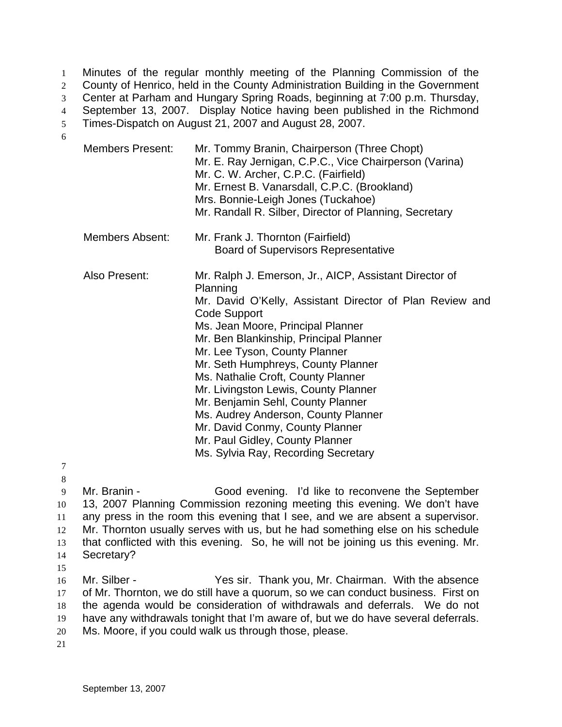Minutes of the regular monthly meeting of the Planning Commission of the County of Henrico, held in the County Administration Building in the Government Center at Parham and Hungary Spring Roads, beginning at 7:00 p.m. Thursday, September 13, 2007. Display Notice having been published in the Richmond Times-Dispatch on August 21, 2007 and August 28, 2007. 1  $2<sup>2</sup>$ 3 4 5

- Members Present: Mr. Tommy Branin, Chairperson (Three Chopt) Mr. E. Ray Jernigan, C.P.C., Vice Chairperson (Varina) Mr. C. W. Archer, C.P.C. (Fairfield) Mr. Ernest B. Vanarsdall, C.P.C. (Brookland) Mrs. Bonnie-Leigh Jones (Tuckahoe) Mr. Randall R. Silber, Director of Planning, Secretary Members Absent: Mr. Frank J. Thornton (Fairfield) Board of Supervisors Representative Also Present: Mr. Ralph J. Emerson, Jr., AICP, Assistant Director of Planning Mr. David O'Kelly, Assistant Director of Plan Review and Code Support Ms. Jean Moore, Principal Planner Mr. Ben Blankinship, Principal Planner Mr. Lee Tyson, County Planner Mr. Seth Humphreys, County Planner Ms. Nathalie Croft, County Planner Mr. Livingston Lewis, County Planner Mr. Benjamin Sehl, County Planner Ms. Audrey Anderson, County Planner Mr. David Conmy, County Planner Mr. Paul Gidley, County Planner Ms. Sylvia Ray, Recording Secretary
- 7 8

6

- 9 10 11 12 13 14 Mr. Branin - Good evening. I'd like to reconvene the September 13, 2007 Planning Commission rezoning meeting this evening. We don't have any press in the room this evening that I see, and we are absent a supervisor. Mr. Thornton usually serves with us, but he had something else on his schedule that conflicted with this evening. So, he will not be joining us this evening. Mr. Secretary?
- 15

16 17 18 19 20 Mr. Silber - Thank you, Mr. Chairman. With the absence of Mr. Thornton, we do still have a quorum, so we can conduct business. First on the agenda would be consideration of withdrawals and deferrals. We do not have any withdrawals tonight that I'm aware of, but we do have several deferrals. Ms. Moore, if you could walk us through those, please.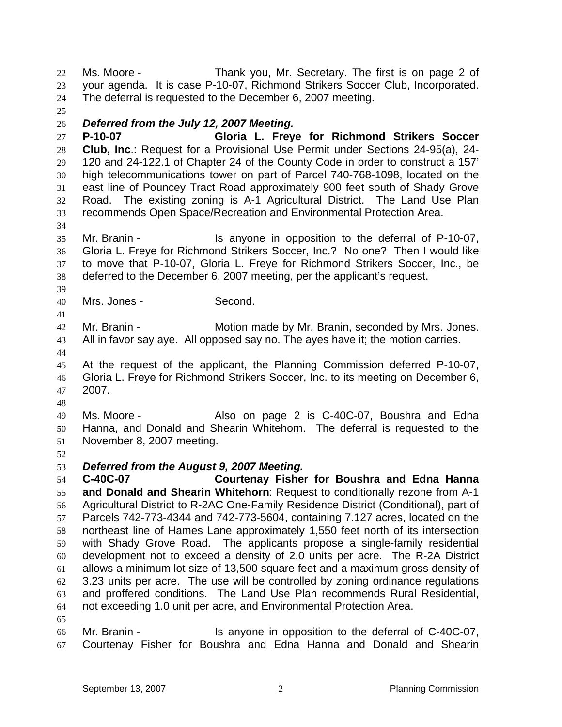Ms. Moore - Thank you, Mr. Secretary. The first is on page 2 of your agenda. It is case P-10-07, Richmond Strikers Soccer Club, Incorporated. The deferral is requested to the December 6, 2007 meeting. 22 23 24 25 26 27 28 29 *Deferred from the July 12, 2007 Meeting.*  **P-10-07 Gloria L. Freye for Richmond Strikers Soccer Club, Inc**.: Request for a Provisional Use Permit under Sections 24-95(a), 24- 120 and 24-122.1 of Chapter 24 of the County Code in order to construct a 157'

30 31 32 33 high telecommunications tower on part of Parcel 740-768-1098, located on the east line of Pouncey Tract Road approximately 900 feet south of Shady Grove Road. The existing zoning is A-1 Agricultural District. The Land Use Plan recommends Open Space/Recreation and Environmental Protection Area.

35 36 37 38 Mr. Branin - The Is anyone in opposition to the deferral of P-10-07, Gloria L. Freye for Richmond Strikers Soccer, Inc.? No one? Then I would like to move that P-10-07, Gloria L. Freye for Richmond Strikers Soccer, Inc., be deferred to the December 6, 2007 meeting, per the applicant's request.

40 Mrs. Jones - Second.

42 43 Mr. Branin - **Motion made by Mr. Branin, seconded by Mrs. Jones.** All in favor say aye. All opposed say no. The ayes have it; the motion carries.

44

34

39

41

45 46 47 At the request of the applicant, the Planning Commission deferred P-10-07, Gloria L. Freye for Richmond Strikers Soccer, Inc. to its meeting on December 6, 2007.

48

49 50 51 Ms. Moore - The Also on page 2 is C-40C-07, Boushra and Edna Hanna, and Donald and Shearin Whitehorn. The deferral is requested to the November 8, 2007 meeting.

52

65

## 53 *Deferred from the August 9, 2007 Meeting.*

54 55 56 57 58 59 60 61 62 63 64 **C-40C-07 Courtenay Fisher for Boushra and Edna Hanna and Donald and Shearin Whitehorn**: Request to conditionally rezone from A-1 Agricultural District to R-2AC One-Family Residence District (Conditional), part of Parcels 742-773-4344 and 742-773-5604, containing 7.127 acres, located on the northeast line of Hames Lane approximately 1,550 feet north of its intersection with Shady Grove Road. The applicants propose a single-family residential development not to exceed a density of 2.0 units per acre. The R-2A District allows a minimum lot size of 13,500 square feet and a maximum gross density of 3.23 units per acre. The use will be controlled by zoning ordinance regulations and proffered conditions. The Land Use Plan recommends Rural Residential, not exceeding 1.0 unit per acre, and Environmental Protection Area.

66 67 Mr. Branin - Is anyone in opposition to the deferral of C-40C-07, Courtenay Fisher for Boushra and Edna Hanna and Donald and Shearin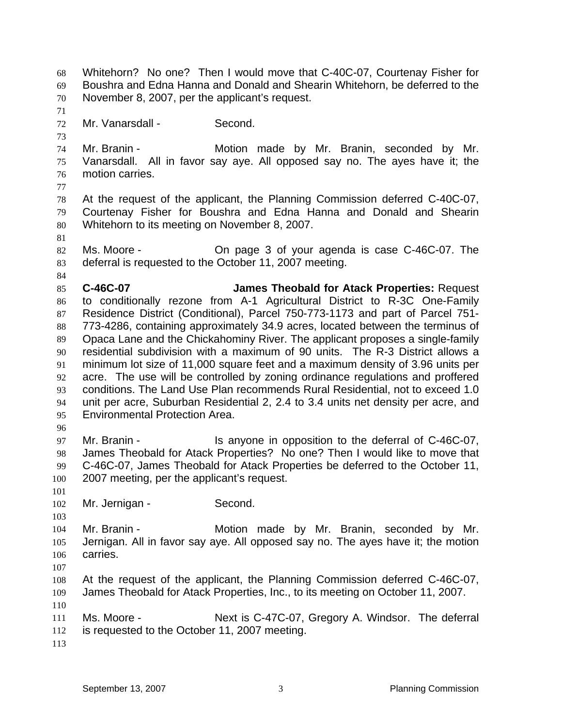November 8, 2007, per the applicant's request. 70 71 72 73 74 75 76 77 78 79 80 81 82 83 84 85 86 87 88 89 90 91 92 93 94 95 96 97 98 99 100 101 102 103 104 105 106 107 108 109 110 111 112 113 Mr. Vanarsdall - Second. Mr. Branin - The Motion made by Mr. Branin, seconded by Mr. Vanarsdall. All in favor say aye. All opposed say no. The ayes have it; the motion carries. At the request of the applicant, the Planning Commission deferred C-40C-07, Courtenay Fisher for Boushra and Edna Hanna and Donald and Shearin Whitehorn to its meeting on November 8, 2007. Ms. Moore - On page 3 of your agenda is case C-46C-07. The deferral is requested to the October 11, 2007 meeting. **C-46C-07 James Theobald for Atack Properties:** Request to conditionally rezone from A-1 Agricultural District to R-3C One-Family Residence District (Conditional), Parcel 750-773-1173 and part of Parcel 751- 773-4286, containing approximately 34.9 acres, located between the terminus of Opaca Lane and the Chickahominy River. The applicant proposes a single-family residential subdivision with a maximum of 90 units. The R-3 District allows a minimum lot size of 11,000 square feet and a maximum density of 3.96 units per acre. The use will be controlled by zoning ordinance regulations and proffered conditions. The Land Use Plan recommends Rural Residential, not to exceed 1.0 unit per acre, Suburban Residential 2, 2.4 to 3.4 units net density per acre, and Environmental Protection Area. Mr. Branin - The Is anyone in opposition to the deferral of C-46C-07, James Theobald for Atack Properties? No one? Then I would like to move that C-46C-07, James Theobald for Atack Properties be deferred to the October 11, 2007 meeting, per the applicant's request. Mr. Jernigan - Second. Mr. Branin - The Motion made by Mr. Branin, seconded by Mr. Jernigan. All in favor say aye. All opposed say no. The ayes have it; the motion carries. At the request of the applicant, the Planning Commission deferred C-46C-07, James Theobald for Atack Properties, Inc., to its meeting on October 11, 2007. Ms. Moore - The Mext is C-47C-07, Gregory A. Windsor. The deferral is requested to the October 11, 2007 meeting.

Whitehorn? No one? Then I would move that C-40C-07, Courtenay Fisher for Boushra and Edna Hanna and Donald and Shearin Whitehorn, be deferred to the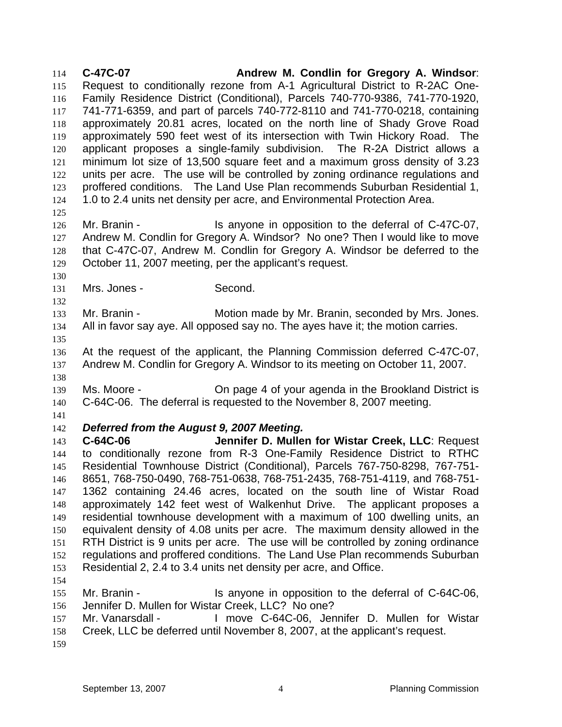**C-47C-07 Andrew M. Condlin for Gregory A. Windsor**: Request to conditionally rezone from A-1 Agricultural District to R-2AC One-Family Residence District (Conditional), Parcels 740-770-9386, 741-770-1920, 741-771-6359, and part of parcels 740-772-8110 and 741-770-0218, containing approximately 20.81 acres, located on the north line of Shady Grove Road approximately 590 feet west of its intersection with Twin Hickory Road. The applicant proposes a single-family subdivision. The R-2A District allows a minimum lot size of 13,500 square feet and a maximum gross density of 3.23 units per acre. The use will be controlled by zoning ordinance regulations and proffered conditions. The Land Use Plan recommends Suburban Residential 1, 1.0 to 2.4 units net density per acre, and Environmental Protection Area. 114 115 116 117 118 119 120 121 122 123 124 125 126 127 128 129 130 131 132 133 134 135 136 137 138 139 140 141 142 143 144 145 146 147 148 149 150 151 152 153 154 155 156 157 158 159 Mr. Branin - The Is anyone in opposition to the deferral of C-47C-07, Andrew M. Condlin for Gregory A. Windsor? No one? Then I would like to move that C-47C-07, Andrew M. Condlin for Gregory A. Windsor be deferred to the October 11, 2007 meeting, per the applicant's request. Mrs. Jones - Second. Mr. Branin - **Motion made by Mr. Branin, seconded by Mrs. Jones.** All in favor say aye. All opposed say no. The ayes have it; the motion carries. At the request of the applicant, the Planning Commission deferred C-47C-07, Andrew M. Condlin for Gregory A. Windsor to its meeting on October 11, 2007. Ms. Moore - On page 4 of your agenda in the Brookland District is C-64C-06. The deferral is requested to the November 8, 2007 meeting. *Deferred from the August 9, 2007 Meeting.*  **C-64C-06 Jennifer D. Mullen for Wistar Creek, LLC**: Request to conditionally rezone from R-3 One-Family Residence District to RTHC Residential Townhouse District (Conditional), Parcels 767-750-8298, 767-751- 8651, 768-750-0490, 768-751-0638, 768-751-2435, 768-751-4119, and 768-751- 1362 containing 24.46 acres, located on the south line of Wistar Road approximately 142 feet west of Walkenhut Drive. The applicant proposes a residential townhouse development with a maximum of 100 dwelling units, an equivalent density of 4.08 units per acre. The maximum density allowed in the RTH District is 9 units per acre. The use will be controlled by zoning ordinance regulations and proffered conditions. The Land Use Plan recommends Suburban Residential 2, 2.4 to 3.4 units net density per acre, and Office. Mr. Branin - The Is anyone in opposition to the deferral of C-64C-06, Jennifer D. Mullen for Wistar Creek, LLC? No one? Mr. Vanarsdall - The Move C-64C-06, Jennifer D. Mullen for Wistar Creek, LLC be deferred until November 8, 2007, at the applicant's request.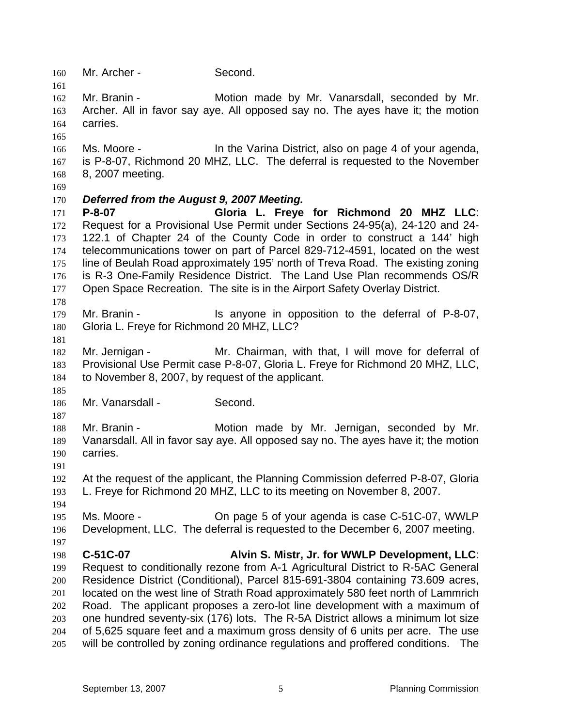160 Mr. Archer - Second.

162 163 164 Mr. Branin - **Motion made by Mr. Vanarsdall**, seconded by Mr. Archer. All in favor say aye. All opposed say no. The ayes have it; the motion carries.

166 167 168 Ms. Moore - **In the Varina District, also on page 4 of your agenda,** is P-8-07, Richmond 20 MHZ, LLC. The deferral is requested to the November 8, 2007 meeting.

169

161

165

170 *Deferred from the August 9, 2007 Meeting.* 

171 172 173 174 175 176 177 **P-8-07 Gloria L. Freye for Richmond 20 MHZ LLC**: Request for a Provisional Use Permit under Sections 24-95(a), 24-120 and 24- 122.1 of Chapter 24 of the County Code in order to construct a 144' high telecommunications tower on part of Parcel 829-712-4591, located on the west line of Beulah Road approximately 195' north of Treva Road. The existing zoning is R-3 One-Family Residence District. The Land Use Plan recommends OS/R Open Space Recreation. The site is in the Airport Safety Overlay District.

- 179 180 Mr. Branin - The Standard Standard Is anyone in opposition to the deferral of P-8-07, Gloria L. Freye for Richmond 20 MHZ, LLC?
- 181

185

187

178

182 183 184 Mr. Jernigan - Mr. Chairman, with that, I will move for deferral of Provisional Use Permit case P-8-07, Gloria L. Freye for Richmond 20 MHZ, LLC, to November 8, 2007, by request of the applicant.

186 Mr. Vanarsdall - Second.

188 189 190 Mr. Branin - Motion made by Mr. Jernigan, seconded by Mr. Vanarsdall. All in favor say aye. All opposed say no. The ayes have it; the motion carries.

191

192 193 At the request of the applicant, the Planning Commission deferred P-8-07, Gloria L. Freye for Richmond 20 MHZ, LLC to its meeting on November 8, 2007.

194

197

195 196 Ms. Moore - On page 5 of your agenda is case C-51C-07, WWLP Development, LLC. The deferral is requested to the December 6, 2007 meeting.

198 199 200 201 202 203 204 205 **C-51C-07 Alvin S. Mistr, Jr. for WWLP Development, LLC**: Request to conditionally rezone from A-1 Agricultural District to R-5AC General Residence District (Conditional), Parcel 815-691-3804 containing 73.609 acres, located on the west line of Strath Road approximately 580 feet north of Lammrich Road. The applicant proposes a zero-lot line development with a maximum of one hundred seventy-six (176) lots. The R-5A District allows a minimum lot size of 5,625 square feet and a maximum gross density of 6 units per acre. The use will be controlled by zoning ordinance regulations and proffered conditions. The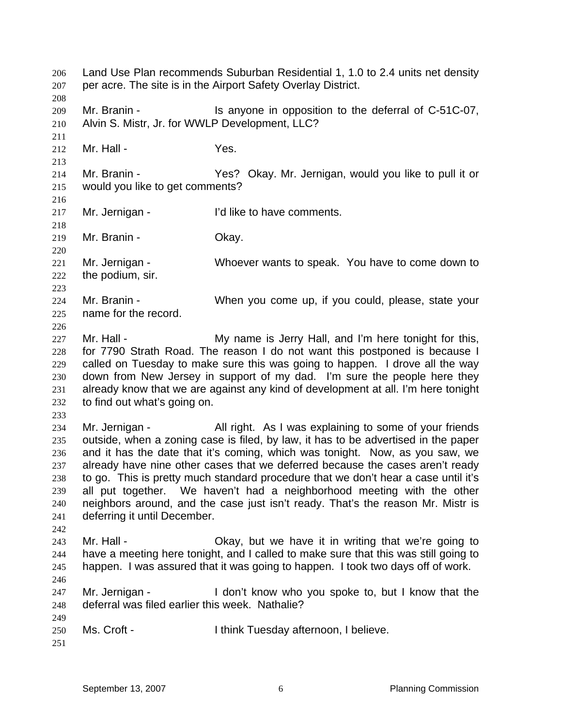Land Use Plan recommends Suburban Residential 1, 1.0 to 2.4 units net density per acre. The site is in the Airport Safety Overlay District. 206 207 208 209 210 211 212 213 214 215 216 217 218 219 220 221 222 223 224 225 226 227 228 229 230 231 232 233 234 235 236 237 238 239 240 241 242 243 244 245 246 247 248 249 250 251 Mr. Branin - Is anyone in opposition to the deferral of C-51C-07, Alvin S. Mistr, Jr. for WWLP Development, LLC? Mr. Hall - The Yes. Mr. Branin - Yes? Okay. Mr. Jernigan, would you like to pull it or would you like to get comments? Mr. Jernigan - I'd like to have comments. Mr. Branin - Chay. Mr. Jernigan - Whoever wants to speak. You have to come down to the podium, sir. Mr. Branin - When you come up, if you could, please, state your name for the record. Mr. Hall - My name is Jerry Hall, and I'm here tonight for this, for 7790 Strath Road. The reason I do not want this postponed is because I called on Tuesday to make sure this was going to happen. I drove all the way down from New Jersey in support of my dad. I'm sure the people here they already know that we are against any kind of development at all. I'm here tonight to find out what's going on. Mr. Jernigan - All right. As I was explaining to some of your friends outside, when a zoning case is filed, by law, it has to be advertised in the paper and it has the date that it's coming, which was tonight. Now, as you saw, we already have nine other cases that we deferred because the cases aren't ready to go. This is pretty much standard procedure that we don't hear a case until it's all put together. We haven't had a neighborhood meeting with the other neighbors around, and the case just isn't ready. That's the reason Mr. Mistr is deferring it until December. Mr. Hall - Chay, but we have it in writing that we're going to have a meeting here tonight, and I called to make sure that this was still going to happen. I was assured that it was going to happen. I took two days off of work. Mr. Jernigan - I don't know who you spoke to, but I know that the deferral was filed earlier this week. Nathalie? Ms. Croft - Think Tuesday afternoon, I believe.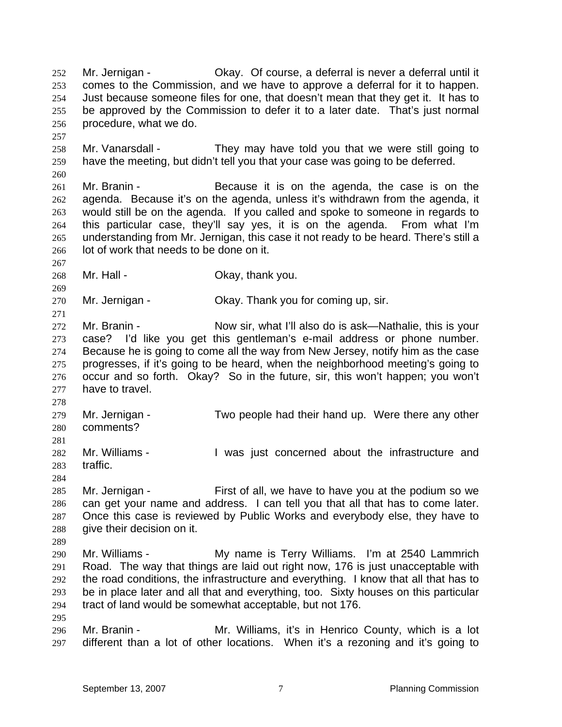Mr. Jernigan - Okay. Of course, a deferral is never a deferral until it comes to the Commission, and we have to approve a deferral for it to happen. Just because someone files for one, that doesn't mean that they get it. It has to be approved by the Commission to defer it to a later date. That's just normal procedure, what we do. 252 253 254 255 256 257 258 259 260 261 262 263 264 265 266 267 268 269 270 271 272 273 274 275 276 277 278 279 280 281 282 283 284 285 286 287 288 289 290 291 292 293 294 295 296 297 Mr. Vanarsdall - They may have told you that we were still going to have the meeting, but didn't tell you that your case was going to be deferred. Mr. Branin - **Because** it is on the agenda, the case is on the agenda. Because it's on the agenda, unless it's withdrawn from the agenda, it would still be on the agenda. If you called and spoke to someone in regards to this particular case, they'll say yes, it is on the agenda. From what I'm understanding from Mr. Jernigan, this case it not ready to be heard. There's still a lot of work that needs to be done on it. Mr. Hall - Ckay, thank you. Mr. Jernigan - Ckay. Thank you for coming up, sir. Mr. Branin - Now sir, what I'll also do is ask—Nathalie, this is your case? I'd like you get this gentleman's e-mail address or phone number. Because he is going to come all the way from New Jersey, notify him as the case progresses, if it's going to be heard, when the neighborhood meeting's going to occur and so forth. Okay? So in the future, sir, this won't happen; you won't have to travel. Mr. Jernigan - Two people had their hand up. Were there any other comments? Mr. Williams - The Mas just concerned about the infrastructure and traffic. Mr. Jernigan - First of all, we have to have you at the podium so we can get your name and address. I can tell you that all that has to come later. Once this case is reviewed by Public Works and everybody else, they have to give their decision on it. Mr. Williams - My name is Terry Williams. I'm at 2540 Lammrich Road. The way that things are laid out right now, 176 is just unacceptable with the road conditions, the infrastructure and everything. I know that all that has to be in place later and all that and everything, too. Sixty houses on this particular tract of land would be somewhat acceptable, but not 176. Mr. Branin - **Mr. Williams, it's in Henrico County, which is a lot** different than a lot of other locations. When it's a rezoning and it's going to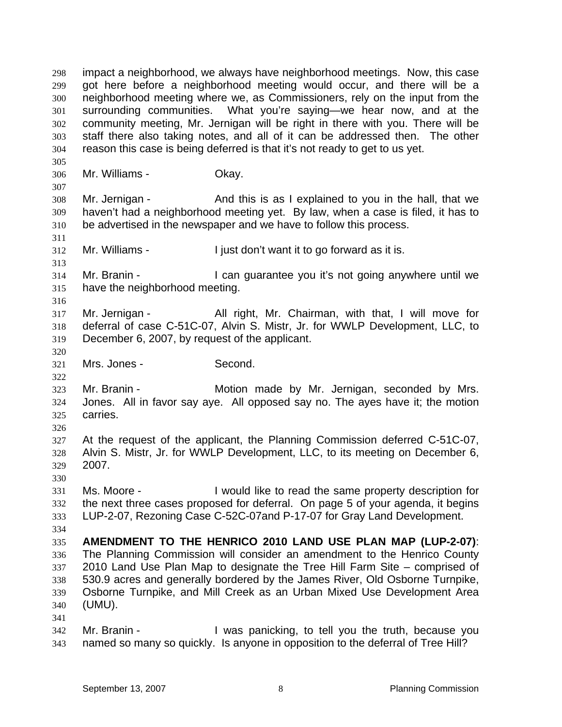impact a neighborhood, we always have neighborhood meetings. Now, this case got here before a neighborhood meeting would occur, and there will be a neighborhood meeting where we, as Commissioners, rely on the input from the surrounding communities. What you're saying—we hear now, and at the community meeting, Mr. Jernigan will be right in there with you. There will be staff there also taking notes, and all of it can be addressed then. The other reason this case is being deferred is that it's not ready to get to us yet. 298 299 300 301 302 303 304 305 306 307 308 309 310 311 312 313 314 315 316 317 318 319 320 321 322 323 324 325 326 327 328 329 330 331 332 333 334 335 336 337 338 339 340 341 342 Mr. Williams - Ckay. Mr. Jernigan - And this is as I explained to you in the hall, that we haven't had a neighborhood meeting yet. By law, when a case is filed, it has to be advertised in the newspaper and we have to follow this process. Mr. Williams - I just don't want it to go forward as it is. Mr. Branin - The State of Lican guarantee you it's not going anywhere until we have the neighborhood meeting. Mr. Jernigan - All right, Mr. Chairman, with that, I will move for deferral of case C-51C-07, Alvin S. Mistr, Jr. for WWLP Development, LLC, to December 6, 2007, by request of the applicant. Mrs. Jones - Second. Mr. Branin - **Motion made by Mr. Jernigan, seconded by Mrs.** Jones. All in favor say aye. All opposed say no. The ayes have it; the motion carries. At the request of the applicant, the Planning Commission deferred C-51C-07, Alvin S. Mistr, Jr. for WWLP Development, LLC, to its meeting on December 6, 2007. Ms. Moore - Twould like to read the same property description for the next three cases proposed for deferral. On page 5 of your agenda, it begins LUP-2-07, Rezoning Case C-52C-07and P-17-07 for Gray Land Development. **AMENDMENT TO THE HENRICO 2010 LAND USE PLAN MAP (LUP-2-07)**: The Planning Commission will consider an amendment to the Henrico County 2010 Land Use Plan Map to designate the Tree Hill Farm Site – comprised of 530.9 acres and generally bordered by the James River, Old Osborne Turnpike, Osborne Turnpike, and Mill Creek as an Urban Mixed Use Development Area (UMU). Mr. Branin - The Mustic panicking, to tell you the truth, because you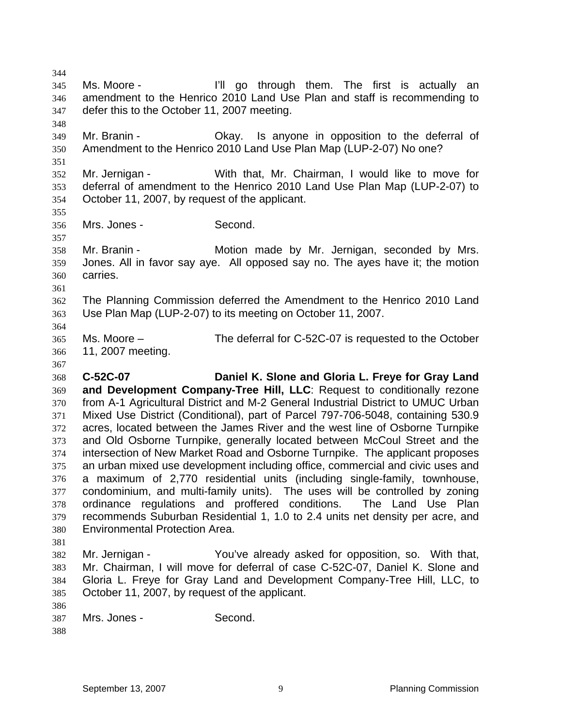345 346 347 348 349 350 351 352 353 354 355 356 357 358 359 360 361 362 363 364 365 366 367 368 369 370 371 372 373 374 375 376 377 378 379 380 381 382 383 384 385 386 387 388 Ms. Moore - The Theore is actually an I'll go through them. The first is actually an amendment to the Henrico 2010 Land Use Plan and staff is recommending to defer this to the October 11, 2007 meeting. Mr. Branin - Ckay. Is anyone in opposition to the deferral of Amendment to the Henrico 2010 Land Use Plan Map (LUP-2-07) No one? Mr. Jernigan - With that, Mr. Chairman, I would like to move for deferral of amendment to the Henrico 2010 Land Use Plan Map (LUP-2-07) to October 11, 2007, by request of the applicant. Mrs. Jones - Second. Mr. Branin - **Motion made by Mr. Jernigan, seconded by Mrs.** Jones. All in favor say aye. All opposed say no. The ayes have it; the motion carries. The Planning Commission deferred the Amendment to the Henrico 2010 Land Use Plan Map (LUP-2-07) to its meeting on October 11, 2007. Ms. Moore – The deferral for C-52C-07 is requested to the October 11, 2007 meeting. **C-52C-07 Daniel K. Slone and Gloria L. Freye for Gray Land and Development Company-Tree Hill, LLC**: Request to conditionally rezone from A-1 Agricultural District and M-2 General Industrial District to UMUC Urban Mixed Use District (Conditional), part of Parcel 797-706-5048, containing 530.9 acres, located between the James River and the west line of Osborne Turnpike and Old Osborne Turnpike, generally located between McCoul Street and the intersection of New Market Road and Osborne Turnpike. The applicant proposes an urban mixed use development including office, commercial and civic uses and a maximum of 2,770 residential units (including single-family, townhouse, condominium, and multi-family units). The uses will be controlled by zoning ordinance regulations and proffered conditions. The Land Use Plan recommends Suburban Residential 1, 1.0 to 2.4 units net density per acre, and Environmental Protection Area. Mr. Jernigan - You've already asked for opposition, so. With that, Mr. Chairman, I will move for deferral of case C-52C-07, Daniel K. Slone and Gloria L. Freye for Gray Land and Development Company-Tree Hill, LLC, to October 11, 2007, by request of the applicant. Mrs. Jones - Second.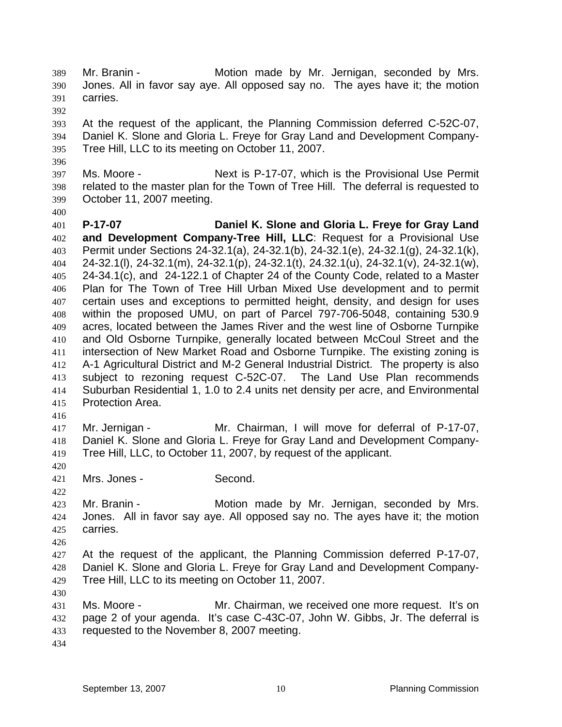Mr. Branin - **Motion made by Mr. Jernigan, seconded by Mrs.** Jones. All in favor say aye. All opposed say no. The ayes have it; the motion carries. 389 390 391

392

396

400

393 394 395 At the request of the applicant, the Planning Commission deferred C-52C-07, Daniel K. Slone and Gloria L. Freye for Gray Land and Development Company-Tree Hill, LLC to its meeting on October 11, 2007.

397 398 399 Ms. Moore - Next is P-17-07, which is the Provisional Use Permit related to the master plan for the Town of Tree Hill. The deferral is requested to October 11, 2007 meeting.

401 402 403 404 405 406 407 408 409 410 411 412 413 414 415 **P-17-07 Daniel K. Slone and Gloria L. Freye for Gray Land and Development Company-Tree Hill, LLC**: Request for a Provisional Use Permit under Sections 24-32.1(a), 24-32.1(b), 24-32.1(e), 24-32.1(g), 24-32.1(k), 24-32.1(l), 24-32.1(m), 24-32.1(p), 24-32.1(t), 24.32.1(u), 24-32.1(v), 24-32.1(w), 24-34.1(c), and 24-122.1 of Chapter 24 of the County Code, related to a Master Plan for The Town of Tree Hill Urban Mixed Use development and to permit certain uses and exceptions to permitted height, density, and design for uses within the proposed UMU, on part of Parcel 797-706-5048, containing 530.9 acres, located between the James River and the west line of Osborne Turnpike and Old Osborne Turnpike, generally located between McCoul Street and the intersection of New Market Road and Osborne Turnpike. The existing zoning is A-1 Agricultural District and M-2 General Industrial District. The property is also subject to rezoning request C-52C-07. The Land Use Plan recommends Suburban Residential 1, 1.0 to 2.4 units net density per acre, and Environmental Protection Area.

416

420

422

426

417 418 419 Mr. Jernigan - Mr. Chairman, I will move for deferral of P-17-07, Daniel K. Slone and Gloria L. Freye for Gray Land and Development Company-Tree Hill, LLC, to October 11, 2007, by request of the applicant.

421 Mrs. Jones - Second.

423 424 425 Mr. Branin - **Motion made by Mr. Jernigan, seconded by Mrs.** Jones. All in favor say aye. All opposed say no. The ayes have it; the motion carries.

427 428 429 At the request of the applicant, the Planning Commission deferred P-17-07, Daniel K. Slone and Gloria L. Freye for Gray Land and Development Company-Tree Hill, LLC to its meeting on October 11, 2007.

430

431 432 433 Ms. Moore - Mr. Chairman, we received one more request. It's on page 2 of your agenda. It's case C-43C-07, John W. Gibbs, Jr. The deferral is requested to the November 8, 2007 meeting.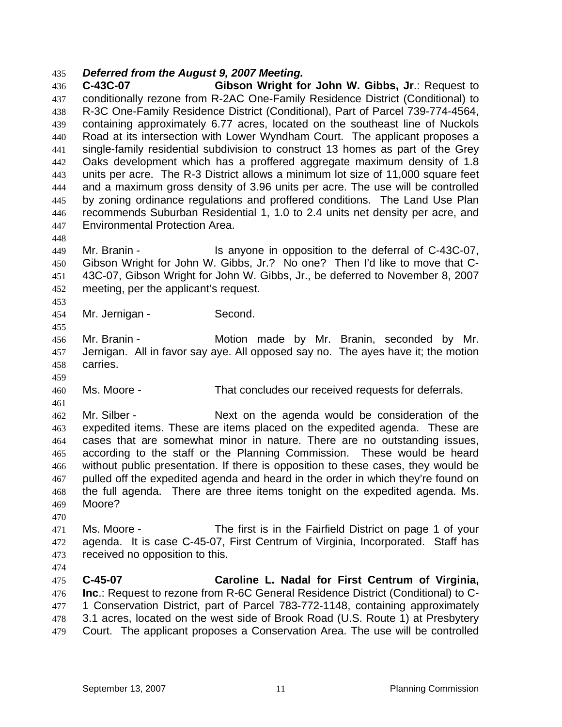## 435 *Deferred from the August 9, 2007 Meeting.*

436 437 438 439 440 441 442 443 444 445 446 447 **C-43C-07 Gibson Wright for John W. Gibbs, Jr**.: Request to conditionally rezone from R-2AC One-Family Residence District (Conditional) to R-3C One-Family Residence District (Conditional), Part of Parcel 739-774-4564, containing approximately 6.77 acres, located on the southeast line of Nuckols Road at its intersection with Lower Wyndham Court. The applicant proposes a single-family residential subdivision to construct 13 homes as part of the Grey Oaks development which has a proffered aggregate maximum density of 1.8 units per acre. The R-3 District allows a minimum lot size of 11,000 square feet and a maximum gross density of 3.96 units per acre. The use will be controlled by zoning ordinance regulations and proffered conditions. The Land Use Plan recommends Suburban Residential 1, 1.0 to 2.4 units net density per acre, and Environmental Protection Area.

449 450 451 452 Mr. Branin - Is anyone in opposition to the deferral of C-43C-07, Gibson Wright for John W. Gibbs, Jr.? No one? Then I'd like to move that C-43C-07, Gibson Wright for John W. Gibbs, Jr., be deferred to November 8, 2007 meeting, per the applicant's request.

454 Mr. Jernigan - Second.

456 457 458 Mr. Branin - The Motion made by Mr. Branin, seconded by Mr. Jernigan. All in favor say aye. All opposed say no. The ayes have it; the motion carries.

460 Ms. Moore - That concludes our received requests for deferrals.

462 463 464 465 466 467 468 469 Mr. Silber - Next on the agenda would be consideration of the expedited items. These are items placed on the expedited agenda. These are cases that are somewhat minor in nature. There are no outstanding issues, according to the staff or the Planning Commission. These would be heard without public presentation. If there is opposition to these cases, they would be pulled off the expedited agenda and heard in the order in which they're found on the full agenda. There are three items tonight on the expedited agenda. Ms. Moore?

471 472 473 Ms. Moore - The first is in the Fairfield District on page 1 of your agenda. It is case C-45-07, First Centrum of Virginia, Incorporated. Staff has received no opposition to this.

474

470

448

453

455

459

461

475 476 477 478 479 **C-45-07 Caroline L. Nadal for First Centrum of Virginia, Inc**.: Request to rezone from R-6C General Residence District (Conditional) to C-1 Conservation District, part of Parcel 783-772-1148, containing approximately 3.1 acres, located on the west side of Brook Road (U.S. Route 1) at Presbytery Court. The applicant proposes a Conservation Area. The use will be controlled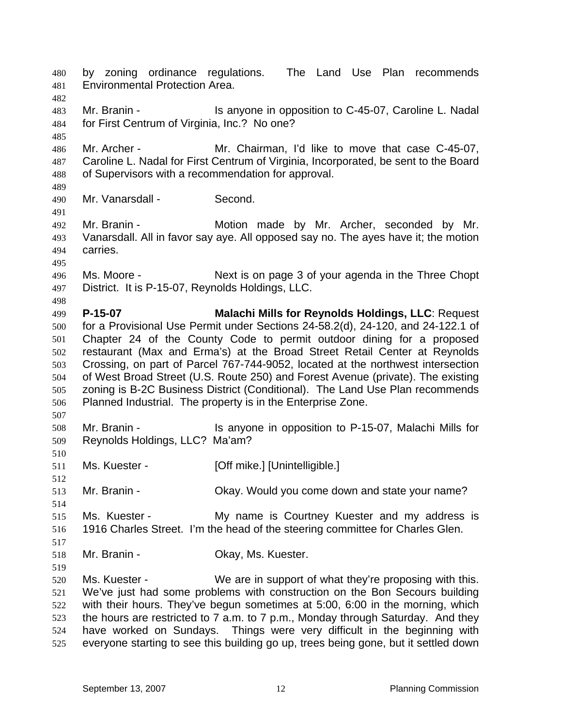by zoning ordinance regulations. The Land Use Plan recommends Environmental Protection Area. 480 481 482 483 484 485 486 487 488 489 490 491 492 493 494 495 496 497 498 499 500 501 502 503 504 505 506 507 508 509 510 511 512 513 514 515 516 517 518 519 520 521 522 523 524 525 Mr. Branin - **IS anyone in opposition to C-45-07, Caroline L. Nadal** for First Centrum of Virginia, Inc.? No one? Mr. Archer - Mr. Chairman, I'd like to move that case C-45-07, Caroline L. Nadal for First Centrum of Virginia, Incorporated, be sent to the Board of Supervisors with a recommendation for approval. Mr. Vanarsdall - Second. Mr. Branin - Motion made by Mr. Archer, seconded by Mr. Vanarsdall. All in favor say aye. All opposed say no. The ayes have it; the motion carries. Ms. Moore - Next is on page 3 of your agenda in the Three Chopt District. It is P-15-07, Reynolds Holdings, LLC. **P-15-07 Malachi Mills for Reynolds Holdings, LLC**: Request for a Provisional Use Permit under Sections 24-58.2(d), 24-120, and 24-122.1 of Chapter 24 of the County Code to permit outdoor dining for a proposed restaurant (Max and Erma's) at the Broad Street Retail Center at Reynolds Crossing, on part of Parcel 767-744-9052, located at the northwest intersection of West Broad Street (U.S. Route 250) and Forest Avenue (private). The existing zoning is B-2C Business District (Conditional). The Land Use Plan recommends Planned Industrial. The property is in the Enterprise Zone. Mr. Branin - Is anyone in opposition to P-15-07, Malachi Mills for Reynolds Holdings, LLC? Ma'am? Ms. Kuester - [Off mike.] [Unintelligible.] Mr. Branin - Chay. Would you come down and state your name? Ms. Kuester - My name is Courtney Kuester and my address is 1916 Charles Street. I'm the head of the steering committee for Charles Glen. Mr. Branin - **Casa Corporation** Okay, Ms. Kuester. Ms. Kuester - We are in support of what they're proposing with this. We've just had some problems with construction on the Bon Secours building with their hours. They've begun sometimes at 5:00, 6:00 in the morning, which the hours are restricted to 7 a.m. to 7 p.m., Monday through Saturday. And they have worked on Sundays. Things were very difficult in the beginning with everyone starting to see this building go up, trees being gone, but it settled down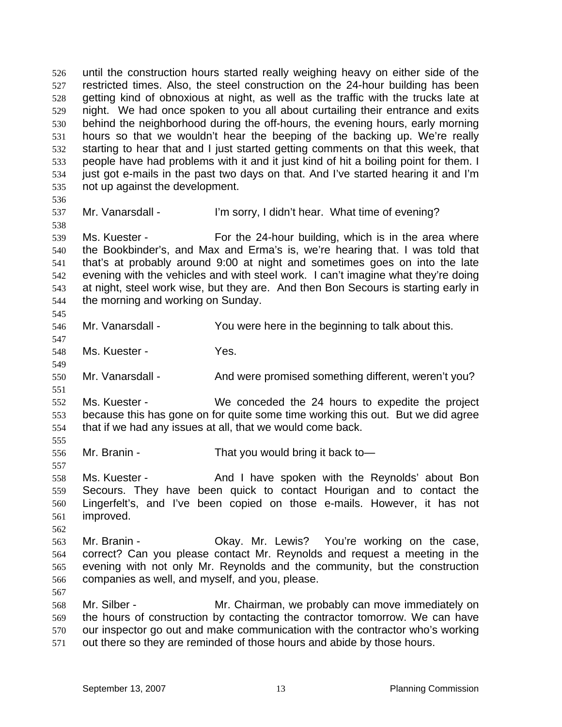until the construction hours started really weighing heavy on either side of the restricted times. Also, the steel construction on the 24-hour building has been getting kind of obnoxious at night, as well as the traffic with the trucks late at night. We had once spoken to you all about curtailing their entrance and exits behind the neighborhood during the off-hours, the evening hours, early morning hours so that we wouldn't hear the beeping of the backing up. We're really starting to hear that and I just started getting comments on that this week, that people have had problems with it and it just kind of hit a boiling point for them. I just got e-mails in the past two days on that. And I've started hearing it and I'm not up against the development. 526 527 528 529 530 531 532 533 534 535 536

537

538

547

549

551

555

557

562

567

Mr. Vanarsdall - I'm sorry, I didn't hear. What time of evening?

539 540 541 542 543 544 545 Ms. Kuester - For the 24-hour building, which is in the area where the Bookbinder's, and Max and Erma's is, we're hearing that. I was told that that's at probably around 9:00 at night and sometimes goes on into the late evening with the vehicles and with steel work. I can't imagine what they're doing at night, steel work wise, but they are. And then Bon Secours is starting early in the morning and working on Sunday.

546 Mr. Vanarsdall - You were here in the beginning to talk about this.

548 Ms. Kuester - Yes.

550 Mr. Vanarsdall - And were promised something different, weren't you?

552 553 554 Ms. Kuester - We conceded the 24 hours to expedite the project because this has gone on for quite some time working this out. But we did agree that if we had any issues at all, that we would come back.

556 Mr. Branin - That you would bring it back to-

558 559 560 561 Ms. Kuester - And I have spoken with the Reynolds' about Bon Secours. They have been quick to contact Hourigan and to contact the Lingerfelt's, and I've been copied on those e-mails. However, it has not improved.

563 564 565 566 Mr. Branin - **CKAY.** Mr. Lewis? You're working on the case, correct? Can you please contact Mr. Reynolds and request a meeting in the evening with not only Mr. Reynolds and the community, but the construction companies as well, and myself, and you, please.

568 569 570 571 Mr. Silber - **Mr.** Chairman, we probably can move immediately on the hours of construction by contacting the contractor tomorrow. We can have our inspector go out and make communication with the contractor who's working out there so they are reminded of those hours and abide by those hours.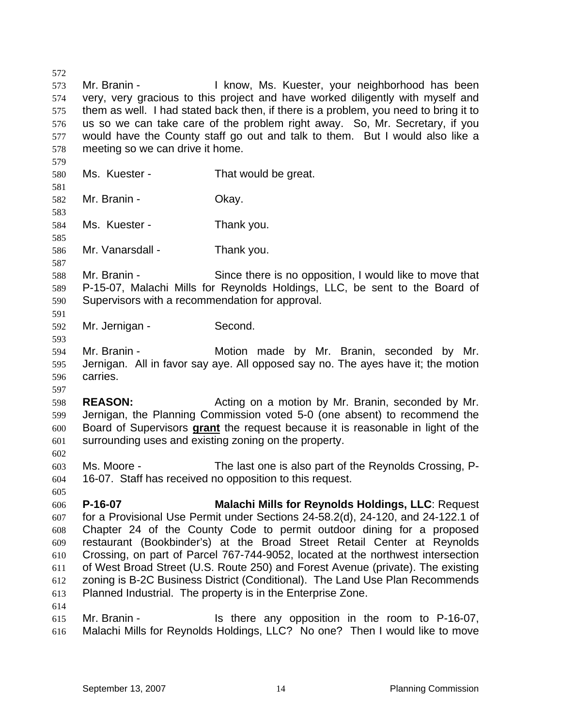572 573 574 575 576 577 578 579 580 581 582 583 584 585 586 587 588 589 590 591 592 593 594 595 596 597 598 599 Mr. Branin - The Mussim Hull know, Ms. Kuester, your neighborhood has been very, very gracious to this project and have worked diligently with myself and them as well. I had stated back then, if there is a problem, you need to bring it to us so we can take care of the problem right away. So, Mr. Secretary, if you would have the County staff go out and talk to them. But I would also like a meeting so we can drive it home. Ms. Kuester - That would be great. Mr. Branin - Ckay. Ms. Kuester - Thank you. Mr. Vanarsdall - Thank you. Mr. Branin - Since there is no opposition, I would like to move that P-15-07, Malachi Mills for Reynolds Holdings, LLC, be sent to the Board of Supervisors with a recommendation for approval. Mr. Jernigan - Second. Mr. Branin - The Motion made by Mr. Branin, seconded by Mr. Jernigan. All in favor say aye. All opposed say no. The ayes have it; the motion carries. **REASON: Acting on a motion by Mr. Branin, seconded by Mr. REASON:** Jernigan, the Planning Commission voted 5-0 (one absent) to recommend the Board of Supervisors **grant** the request because it is reasonable in light of the surrounding uses and existing zoning on the property. 600 601 602 603 604 605 606 607 608 609 610 611 612 613 614 615 Ms. Moore - The last one is also part of the Reynolds Crossing, P-16-07. Staff has received no opposition to this request. **P-16-07 Malachi Mills for Reynolds Holdings, LLC**: Request for a Provisional Use Permit under Sections 24-58.2(d), 24-120, and 24-122.1 of Chapter 24 of the County Code to permit outdoor dining for a proposed restaurant (Bookbinder's) at the Broad Street Retail Center at Reynolds Crossing, on part of Parcel 767-744-9052, located at the northwest intersection of West Broad Street (U.S. Route 250) and Forest Avenue (private). The existing zoning is B-2C Business District (Conditional). The Land Use Plan Recommends Planned Industrial. The property is in the Enterprise Zone. Mr. Branin - The State any opposition in the room to P-16-07,

616 Malachi Mills for Reynolds Holdings, LLC? No one? Then I would like to move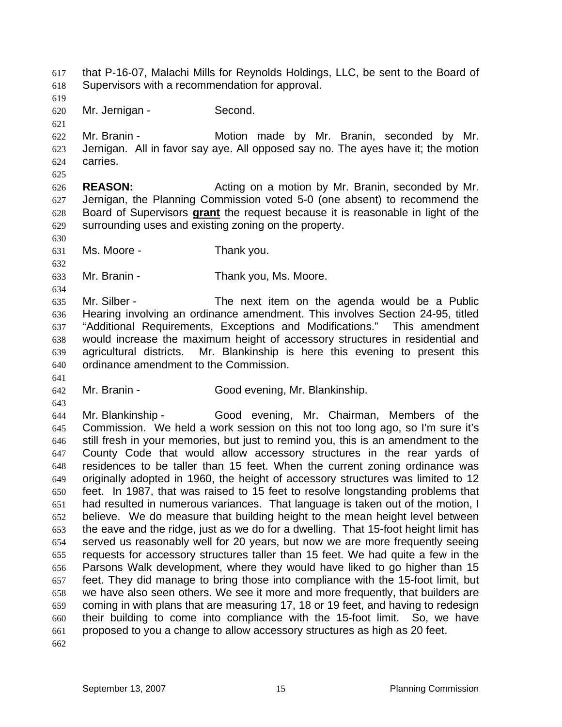that P-16-07, Malachi Mills for Reynolds Holdings, LLC, be sent to the Board of Supervisors with a recommendation for approval. 617 618

619 620

621

Mr. Jernigan - Second.

622 623 624 Mr. Branin - The Motion made by Mr. Branin, seconded by Mr. Jernigan. All in favor say aye. All opposed say no. The ayes have it; the motion carries.

625

626 627 **REASON:** Acting on a motion by Mr. Branin, seconded by Mr. Jernigan, the Planning Commission voted 5-0 (one absent) to recommend the Board of Supervisors **grant** the request because it is reasonable in light of the surrounding uses and existing zoning on the property. 628 629

630 631

632

634

641

643

Ms. Moore - Thank you.

633 Mr. Branin - Thank you, Ms. Moore.

635 636 637 638 639 640 Mr. Silber - The next item on the agenda would be a Public Hearing involving an ordinance amendment. This involves Section 24-95, titled "Additional Requirements, Exceptions and Modifications." This amendment would increase the maximum height of accessory structures in residential and agricultural districts. Mr. Blankinship is here this evening to present this ordinance amendment to the Commission.

642 Mr. Branin - Good evening, Mr. Blankinship.

644 645 646 647 648 649 650 651 652 653 654 655 656 657 658 659 660 661 Mr. Blankinship - Good evening, Mr. Chairman, Members of the Commission. We held a work session on this not too long ago, so I'm sure it's still fresh in your memories, but just to remind you, this is an amendment to the County Code that would allow accessory structures in the rear yards of residences to be taller than 15 feet. When the current zoning ordinance was originally adopted in 1960, the height of accessory structures was limited to 12 feet. In 1987, that was raised to 15 feet to resolve longstanding problems that had resulted in numerous variances. That language is taken out of the motion, I believe. We do measure that building height to the mean height level between the eave and the ridge, just as we do for a dwelling. That 15-foot height limit has served us reasonably well for 20 years, but now we are more frequently seeing requests for accessory structures taller than 15 feet. We had quite a few in the Parsons Walk development, where they would have liked to go higher than 15 feet. They did manage to bring those into compliance with the 15-foot limit, but we have also seen others. We see it more and more frequently, that builders are coming in with plans that are measuring 17, 18 or 19 feet, and having to redesign their building to come into compliance with the 15-foot limit. So, we have proposed to you a change to allow accessory structures as high as 20 feet.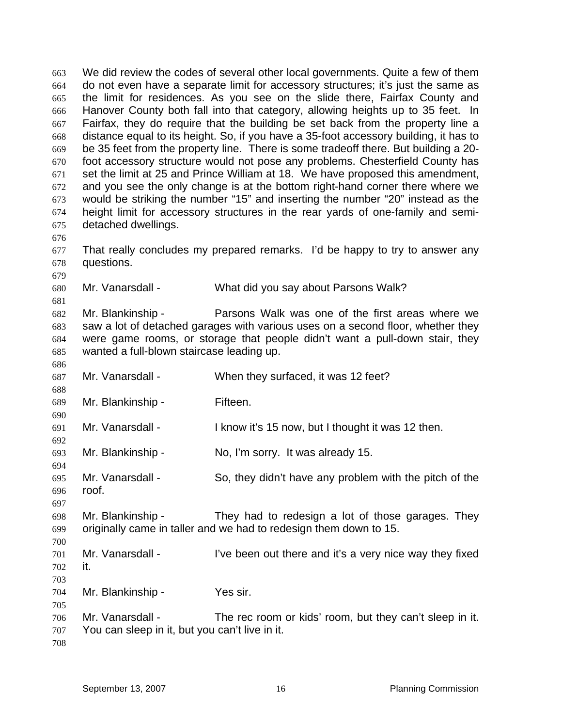We did review the codes of several other local governments. Quite a few of them do not even have a separate limit for accessory structures; it's just the same as the limit for residences. As you see on the slide there, Fairfax County and Hanover County both fall into that category, allowing heights up to 35 feet. In Fairfax, they do require that the building be set back from the property line a distance equal to its height. So, if you have a 35-foot accessory building, it has to be 35 feet from the property line. There is some tradeoff there. But building a 20 foot accessory structure would not pose any problems. Chesterfield County has set the limit at 25 and Prince William at 18. We have proposed this amendment, and you see the only change is at the bottom right-hand corner there where we would be striking the number "15" and inserting the number "20" instead as the height limit for accessory structures in the rear yards of one-family and semidetached dwellings. 663 664 665 666 667 668 669 670 671 672 673 674 675 676 677 678 679 680 681 682 683 684 685 686 687 688 689 690 691 692 693 694 695 696 697 698 699 700 701 702 703 704 705 706 707 708 That really concludes my prepared remarks. I'd be happy to try to answer any questions. Mr. Vanarsdall - What did you say about Parsons Walk? Mr. Blankinship - Parsons Walk was one of the first areas where we saw a lot of detached garages with various uses on a second floor, whether they were game rooms, or storage that people didn't want a pull-down stair, they wanted a full-blown staircase leading up. Mr. Vanarsdall - When they surfaced, it was 12 feet? Mr. Blankinship - Fifteen. Mr. Vanarsdall - I know it's 15 now, but I thought it was 12 then. Mr. Blankinship - No, I'm sorry. It was already 15. Mr. Vanarsdall - So, they didn't have any problem with the pitch of the roof. Mr. Blankinship - They had to redesign a lot of those garages. They originally came in taller and we had to redesign them down to 15. Mr. Vanarsdall - I've been out there and it's a very nice way they fixed it. Mr. Blankinship - Yes sir. Mr. Vanarsdall - The rec room or kids' room, but they can't sleep in it. You can sleep in it, but you can't live in it.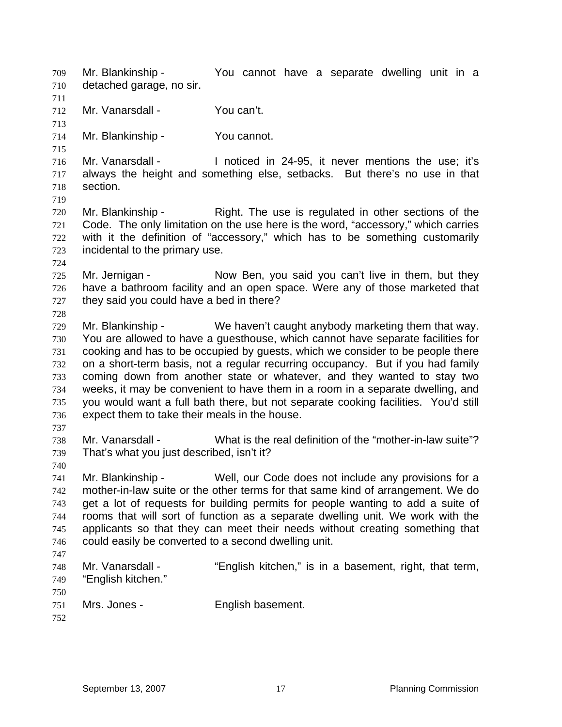Mr. Blankinship - You cannot have a separate dwelling unit in a detached garage, no sir. 709 710 711 712 713 714 715 716 717 718 719 720 721 722 723 724 725 726 727 728 729 730 731 732 733 734 735 736 737 738 739 740 741 742 743 744 745 746 747 748 749 750 751 752 Mr. Vanarsdall - You can't. Mr. Blankinship - You cannot. Mr. Vanarsdall - Inoticed in 24-95, it never mentions the use; it's always the height and something else, setbacks. But there's no use in that section. Mr. Blankinship - Right. The use is regulated in other sections of the Code. The only limitation on the use here is the word, "accessory," which carries with it the definition of "accessory," which has to be something customarily incidental to the primary use. Mr. Jernigan - Now Ben, you said you can't live in them, but they have a bathroom facility and an open space. Were any of those marketed that they said you could have a bed in there? Mr. Blankinship - We haven't caught anybody marketing them that way. You are allowed to have a guesthouse, which cannot have separate facilities for cooking and has to be occupied by guests, which we consider to be people there on a short-term basis, not a regular recurring occupancy. But if you had family coming down from another state or whatever, and they wanted to stay two weeks, it may be convenient to have them in a room in a separate dwelling, and you would want a full bath there, but not separate cooking facilities. You'd still expect them to take their meals in the house. Mr. Vanarsdall - What is the real definition of the "mother-in-law suite"? That's what you just described, isn't it? Mr. Blankinship - Well, our Code does not include any provisions for a mother-in-law suite or the other terms for that same kind of arrangement. We do get a lot of requests for building permits for people wanting to add a suite of rooms that will sort of function as a separate dwelling unit. We work with the applicants so that they can meet their needs without creating something that could easily be converted to a second dwelling unit. Mr. Vanarsdall - "English kitchen," is in a basement, right, that term, "English kitchen." Mrs. Jones - English basement.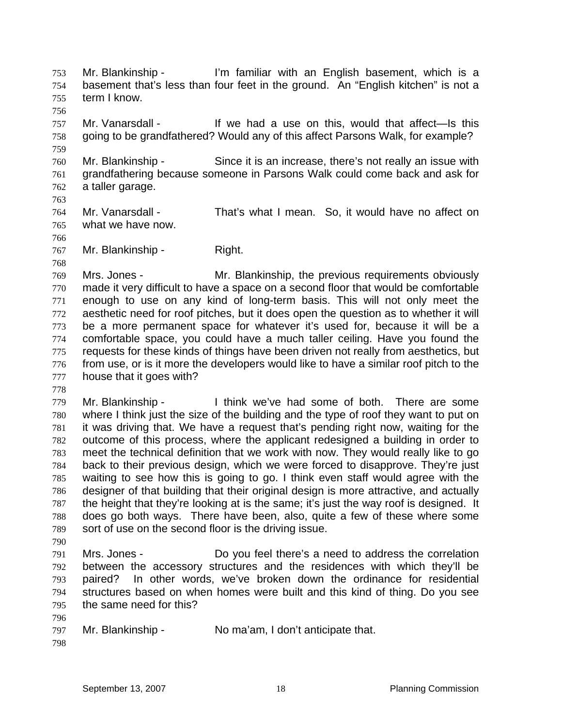Mr. Blankinship - I'm familiar with an English basement, which is a basement that's less than four feet in the ground. An "English kitchen" is not a term I know. 753 754 755

- 756 757 758 Mr. Vanarsdall - The Muster of the state on this, would that affect—Is this going to be grandfathered? Would any of this affect Parsons Walk, for example?
- 760 761 762 Mr. Blankinship - Since it is an increase, there's not really an issue with grandfathering because someone in Parsons Walk could come back and ask for a taller garage.
- 763

768

759

764 765 766 Mr. Vanarsdall - That's what I mean. So, it would have no affect on what we have now.

767 Mr. Blankinship - Right.

769 770 771 772 773 774 775 776 777 Mrs. Jones - Mr. Blankinship, the previous requirements obviously made it very difficult to have a space on a second floor that would be comfortable enough to use on any kind of long-term basis. This will not only meet the aesthetic need for roof pitches, but it does open the question as to whether it will be a more permanent space for whatever it's used for, because it will be a comfortable space, you could have a much taller ceiling. Have you found the requests for these kinds of things have been driven not really from aesthetics, but from use, or is it more the developers would like to have a similar roof pitch to the house that it goes with?

778

779 780 781 782 783 784 785 786 787 788 789 Mr. Blankinship - I think we've had some of both. There are some where I think just the size of the building and the type of roof they want to put on it was driving that. We have a request that's pending right now, waiting for the outcome of this process, where the applicant redesigned a building in order to meet the technical definition that we work with now. They would really like to go back to their previous design, which we were forced to disapprove. They're just waiting to see how this is going to go. I think even staff would agree with the designer of that building that their original design is more attractive, and actually the height that they're looking at is the same; it's just the way roof is designed. It does go both ways. There have been, also, quite a few of these where some sort of use on the second floor is the driving issue.

- 790
- 791 792 793 794 795 Mrs. Jones - Do you feel there's a need to address the correlation between the accessory structures and the residences with which they'll be paired? In other words, we've broken down the ordinance for residential structures based on when homes were built and this kind of thing. Do you see the same need for this?
- 797 Mr. Blankinship - No ma'am, I don't anticipate that.
- 798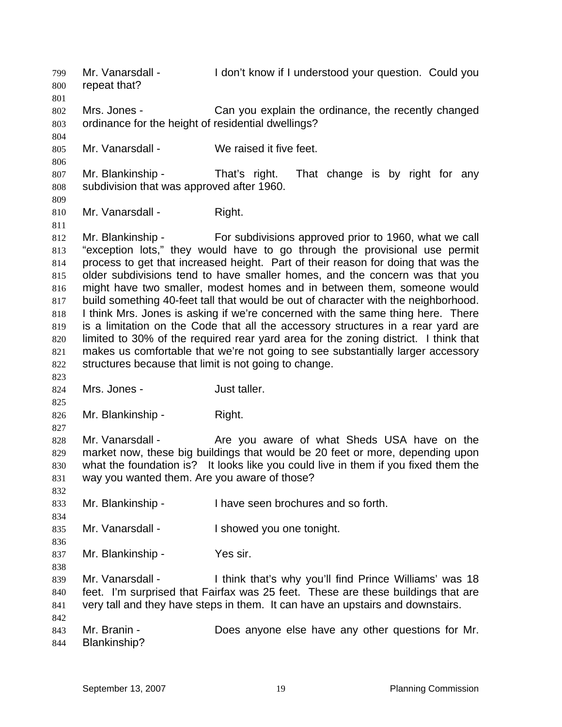Mr. Vanarsdall - I don't know if I understood your question. Could you repeat that? 799 800 801 802 803 804 805 806 807 808 809 810 811 812 813 814 815 816 817 818 819 820 821 822 823 824 825 826 827 828 829 830 831 832 833 834 835 836 837 838 839 840 841 842 843 844 Mrs. Jones - Can you explain the ordinance, the recently changed ordinance for the height of residential dwellings? Mr. Vanarsdall - We raised it five feet. Mr. Blankinship - That's right. That change is by right for any subdivision that was approved after 1960. Mr. Vanarsdall - Right. Mr. Blankinship - For subdivisions approved prior to 1960, what we call "exception lots," they would have to go through the provisional use permit process to get that increased height. Part of their reason for doing that was the older subdivisions tend to have smaller homes, and the concern was that you might have two smaller, modest homes and in between them, someone would build something 40-feet tall that would be out of character with the neighborhood. I think Mrs. Jones is asking if we're concerned with the same thing here. There is a limitation on the Code that all the accessory structures in a rear yard are limited to 30% of the required rear yard area for the zoning district. I think that makes us comfortable that we're not going to see substantially larger accessory structures because that limit is not going to change. Mrs. Jones - **Just taller.** Mr. Blankinship - Right. Mr. Vanarsdall - Are you aware of what Sheds USA have on the market now, these big buildings that would be 20 feet or more, depending upon what the foundation is? It looks like you could live in them if you fixed them the way you wanted them. Are you aware of those? Mr. Blankinship - I have seen brochures and so forth. Mr. Vanarsdall - The Showed you one tonight. Mr. Blankinship - Yes sir. Mr. Vanarsdall - I think that's why you'll find Prince Williams' was 18 feet. I'm surprised that Fairfax was 25 feet. These are these buildings that are very tall and they have steps in them. It can have an upstairs and downstairs. Mr. Branin - **Does anyone else have any other questions for Mr.** Blankinship?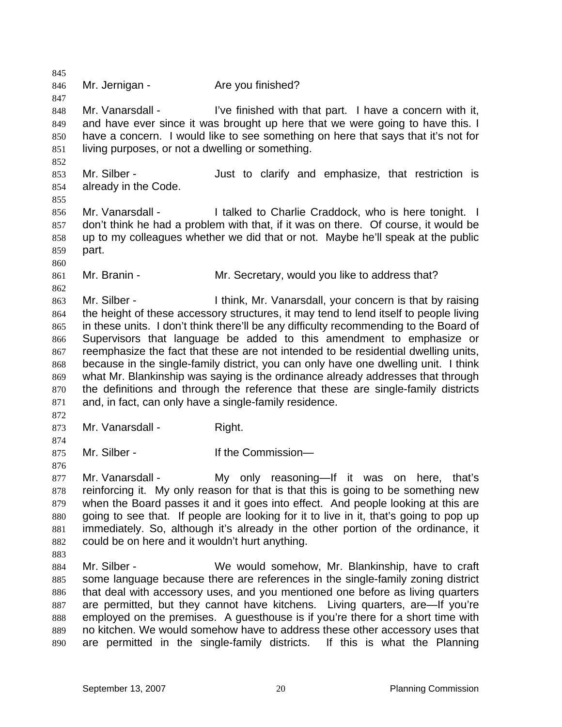845 846 847 848 849 850 851 852 853 854 855 856 857 858 859 860 861 862 863 864 865 866 867 868 869 870 871 872 873 874 875 876 877 878 879 880 881 882 883 884 885 886 887 888 889 890 Mr. Jernigan - **Are you finished?** Mr. Vanarsdall - I've finished with that part. I have a concern with it, and have ever since it was brought up here that we were going to have this. I have a concern. I would like to see something on here that says that it's not for living purposes, or not a dwelling or something. Mr. Silber - Just to clarify and emphasize, that restriction is already in the Code. Mr. Vanarsdall - I talked to Charlie Craddock, who is here tonight. I don't think he had a problem with that, if it was on there. Of course, it would be up to my colleagues whether we did that or not. Maybe he'll speak at the public part. Mr. Branin - Mr. Secretary, would you like to address that? Mr. Silber - Ithink, Mr. Vanarsdall, your concern is that by raising the height of these accessory structures, it may tend to lend itself to people living in these units. I don't think there'll be any difficulty recommending to the Board of Supervisors that language be added to this amendment to emphasize or reemphasize the fact that these are not intended to be residential dwelling units, because in the single-family district, you can only have one dwelling unit. I think what Mr. Blankinship was saying is the ordinance already addresses that through the definitions and through the reference that these are single-family districts and, in fact, can only have a single-family residence. Mr. Vanarsdall - Right. Mr. Silber - The Commission-Mr. Vanarsdall - The My only reasoning—If it was on here, that's reinforcing it. My only reason for that is that this is going to be something new when the Board passes it and it goes into effect. And people looking at this are going to see that. If people are looking for it to live in it, that's going to pop up immediately. So, although it's already in the other portion of the ordinance, it could be on here and it wouldn't hurt anything. Mr. Silber - We would somehow, Mr. Blankinship, have to craft some language because there are references in the single-family zoning district that deal with accessory uses, and you mentioned one before as living quarters are permitted, but they cannot have kitchens. Living quarters, are—If you're employed on the premises. A guesthouse is if you're there for a short time with no kitchen. We would somehow have to address these other accessory uses that are permitted in the single-family districts. If this is what the Planning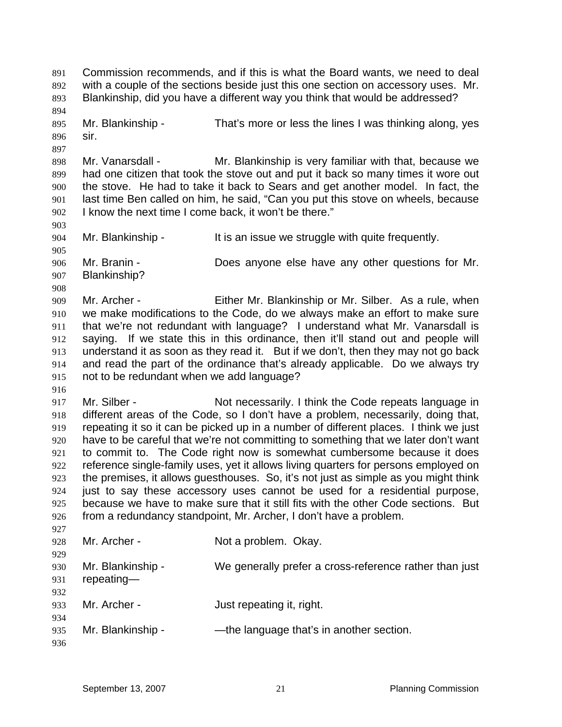Commission recommends, and if this is what the Board wants, we need to deal with a couple of the sections beside just this one section on accessory uses. Mr. Blankinship, did you have a different way you think that would be addressed? 891 892 893 894 895 896 897 898 899 900 901 902 903 904 905 906 907 908 909 910 911 912 913 914 915 916 917 918 919 920 921 922 923 924 925 926 927 928 929 930 931 932 933 934 935 936 Mr. Blankinship - That's more or less the lines I was thinking along, yes sir. Mr. Vanarsdall - Mr. Blankinship is very familiar with that, because we had one citizen that took the stove out and put it back so many times it wore out the stove. He had to take it back to Sears and get another model. In fact, the last time Ben called on him, he said, "Can you put this stove on wheels, because I know the next time I come back, it won't be there." Mr. Blankinship - It is an issue we struggle with quite frequently. Mr. Branin - **Does anyone else have any other questions for Mr.** Blankinship? Mr. Archer - Either Mr. Blankinship or Mr. Silber. As a rule, when we make modifications to the Code, do we always make an effort to make sure that we're not redundant with language? I understand what Mr. Vanarsdall is saying. If we state this in this ordinance, then it'll stand out and people will understand it as soon as they read it. But if we don't, then they may not go back and read the part of the ordinance that's already applicable. Do we always try not to be redundant when we add language? Mr. Silber - Not necessarily. I think the Code repeats language in different areas of the Code, so I don't have a problem, necessarily, doing that, repeating it so it can be picked up in a number of different places. I think we just have to be careful that we're not committing to something that we later don't want to commit to. The Code right now is somewhat cumbersome because it does reference single-family uses, yet it allows living quarters for persons employed on the premises, it allows guesthouses. So, it's not just as simple as you might think just to say these accessory uses cannot be used for a residential purpose, because we have to make sure that it still fits with the other Code sections. But from a redundancy standpoint, Mr. Archer, I don't have a problem. Mr. Archer - Not a problem. Okay. Mr. Blankinship - We generally prefer a cross-reference rather than just repeating— Mr. Archer - **Just repeating it, right.** Mr. Blankinship - — — — — — the language that's in another section.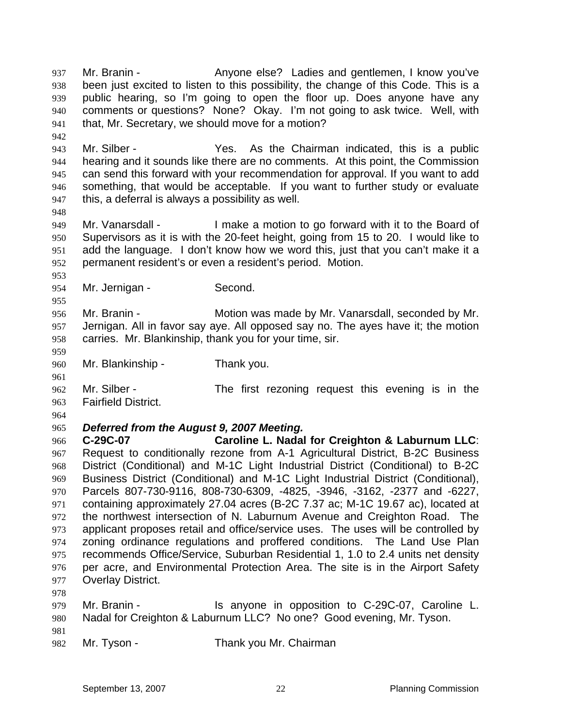Mr. Branin - Anyone else? Ladies and gentlemen, I know you've been just excited to listen to this possibility, the change of this Code. This is a public hearing, so I'm going to open the floor up. Does anyone have any comments or questions? None? Okay. I'm not going to ask twice. Well, with that, Mr. Secretary, we should move for a motion? 937 938 939 940 941

943 944 945 946 947 Mr. Silber - Yes. As the Chairman indicated, this is a public hearing and it sounds like there are no comments. At this point, the Commission can send this forward with your recommendation for approval. If you want to add something, that would be acceptable. If you want to further study or evaluate this, a deferral is always a possibility as well.

949 950 951 952 Mr. Vanarsdall - I make a motion to go forward with it to the Board of Supervisors as it is with the 20-feet height, going from 15 to 20. I would like to add the language. I don't know how we word this, just that you can't make it a permanent resident's or even a resident's period. Motion.

954 Mr. Jernigan - Second.

956 957 958 Mr. Branin - **Motion was made by Mr. Vanarsdall, seconded by Mr.** Jernigan. All in favor say aye. All opposed say no. The ayes have it; the motion carries. Mr. Blankinship, thank you for your time, sir.

960 Mr. Blankinship - Thank you.

962 963 Mr. Silber - The first rezoning request this evening is in the Fairfield District.

964

942

948

953

955

959

961

## 965 *Deferred from the August 9, 2007 Meeting.*

966 967 968 969 970 971 972 973 974 975 976 977 **C-29C-07 Caroline L. Nadal for Creighton & Laburnum LLC**: Request to conditionally rezone from A-1 Agricultural District, B-2C Business District (Conditional) and M-1C Light Industrial District (Conditional) to B-2C Business District (Conditional) and M-1C Light Industrial District (Conditional), Parcels 807-730-9116, 808-730-6309, -4825, -3946, -3162, -2377 and -6227, containing approximately 27.04 acres (B-2C 7.37 ac; M-1C 19.67 ac), located at the northwest intersection of N. Laburnum Avenue and Creighton Road. The applicant proposes retail and office/service uses. The uses will be controlled by zoning ordinance regulations and proffered conditions. The Land Use Plan recommends Office/Service, Suburban Residential 1, 1.0 to 2.4 units net density per acre, and Environmental Protection Area. The site is in the Airport Safety Overlay District.

978

979 980 981 Mr. Branin - The State of the anyone in opposition to C-29C-07, Caroline L. Nadal for Creighton & Laburnum LLC? No one? Good evening, Mr. Tyson.

982

Mr. Tyson - Thank you Mr. Chairman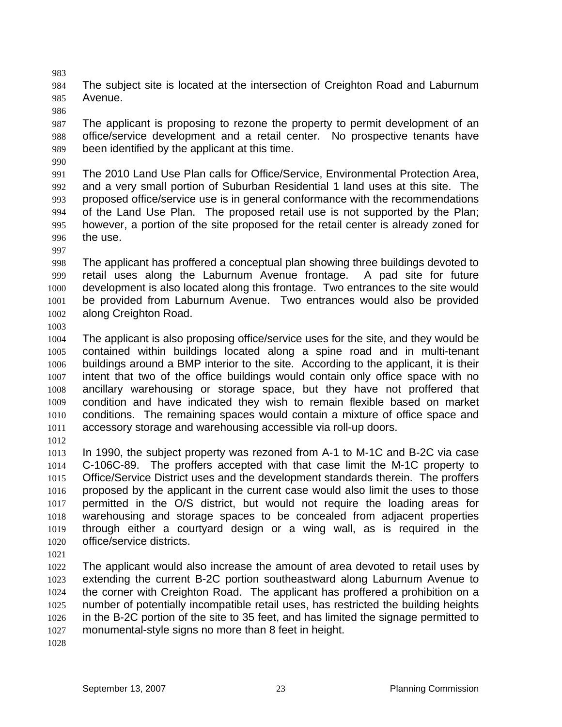984 985 The subject site is located at the intersection of Creighton Road and Laburnum Avenue.

987 988 989 The applicant is proposing to rezone the property to permit development of an office/service development and a retail center. No prospective tenants have been identified by the applicant at this time.

990

983

986

991 992 993 994 995 996 The 2010 Land Use Plan calls for Office/Service, Environmental Protection Area, and a very small portion of Suburban Residential 1 land uses at this site. The proposed office/service use is in general conformance with the recommendations of the Land Use Plan. The proposed retail use is not supported by the Plan; however, a portion of the site proposed for the retail center is already zoned for the use.

997

998 999 1000 1001 1002 The applicant has proffered a conceptual plan showing three buildings devoted to retail uses along the Laburnum Avenue frontage. A pad site for future development is also located along this frontage. Two entrances to the site would be provided from Laburnum Avenue. Two entrances would also be provided along Creighton Road.

1003

1004 1005 1006 1007 1008 1009 1010 1011 The applicant is also proposing office/service uses for the site, and they would be contained within buildings located along a spine road and in multi-tenant buildings around a BMP interior to the site. According to the applicant, it is their intent that two of the office buildings would contain only office space with no ancillary warehousing or storage space, but they have not proffered that condition and have indicated they wish to remain flexible based on market conditions. The remaining spaces would contain a mixture of office space and accessory storage and warehousing accessible via roll-up doors.

1012

1013 1014 1015 1016 1017 1018 1019 1020 In 1990, the subject property was rezoned from A-1 to M-1C and B-2C via case C-106C-89. The proffers accepted with that case limit the M-1C property to Office/Service District uses and the development standards therein. The proffers proposed by the applicant in the current case would also limit the uses to those permitted in the O/S district, but would not require the loading areas for warehousing and storage spaces to be concealed from adjacent properties through either a courtyard design or a wing wall, as is required in the office/service districts.

1021

1022 1023 1024 1025 1026 1027 The applicant would also increase the amount of area devoted to retail uses by extending the current B-2C portion southeastward along Laburnum Avenue to the corner with Creighton Road. The applicant has proffered a prohibition on a number of potentially incompatible retail uses, has restricted the building heights in the B-2C portion of the site to 35 feet, and has limited the signage permitted to monumental-style signs no more than 8 feet in height.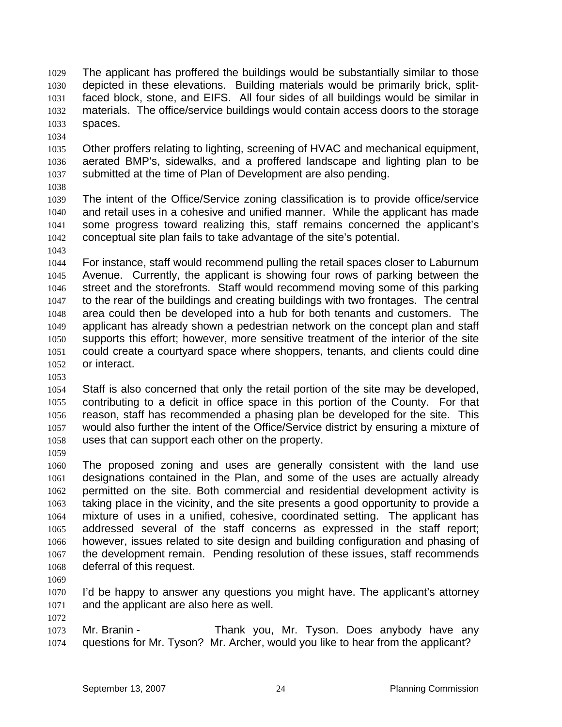- The applicant has proffered the buildings would be substantially similar to those depicted in these elevations. Building materials would be primarily brick, splitfaced block, stone, and EIFS. All four sides of all buildings would be similar in materials. The office/service buildings would contain access doors to the storage spaces. 1029 1030 1031 1032 1033
- 1034

1035 1036 1037 Other proffers relating to lighting, screening of HVAC and mechanical equipment, aerated BMP's, sidewalks, and a proffered landscape and lighting plan to be submitted at the time of Plan of Development are also pending.

1038

1039 1040 1041 1042 The intent of the Office/Service zoning classification is to provide office/service and retail uses in a cohesive and unified manner. While the applicant has made some progress toward realizing this, staff remains concerned the applicant's conceptual site plan fails to take advantage of the site's potential.

1043

1044 1045 1046 1047 1048 1049 1050 1051 1052 For instance, staff would recommend pulling the retail spaces closer to Laburnum Avenue. Currently, the applicant is showing four rows of parking between the street and the storefronts. Staff would recommend moving some of this parking to the rear of the buildings and creating buildings with two frontages. The central area could then be developed into a hub for both tenants and customers. The applicant has already shown a pedestrian network on the concept plan and staff supports this effort; however, more sensitive treatment of the interior of the site could create a courtyard space where shoppers, tenants, and clients could dine or interact.

1053

1054 1055 1056 1057 1058 Staff is also concerned that only the retail portion of the site may be developed, contributing to a deficit in office space in this portion of the County. For that reason, staff has recommended a phasing plan be developed for the site. This would also further the intent of the Office/Service district by ensuring a mixture of uses that can support each other on the property.

1059

1060 1061 1062 1063 1064 1065 1066 1067 1068 The proposed zoning and uses are generally consistent with the land use designations contained in the Plan, and some of the uses are actually already permitted on the site. Both commercial and residential development activity is taking place in the vicinity, and the site presents a good opportunity to provide a mixture of uses in a unified, cohesive, coordinated setting. The applicant has addressed several of the staff concerns as expressed in the staff report; however, issues related to site design and building configuration and phasing of the development remain. Pending resolution of these issues, staff recommends deferral of this request.

1069

1072

1070 1071 I'd be happy to answer any questions you might have. The applicant's attorney and the applicant are also here as well.

1073 1074 Mr. Branin - Thank you, Mr. Tyson. Does anybody have any questions for Mr. Tyson? Mr. Archer, would you like to hear from the applicant?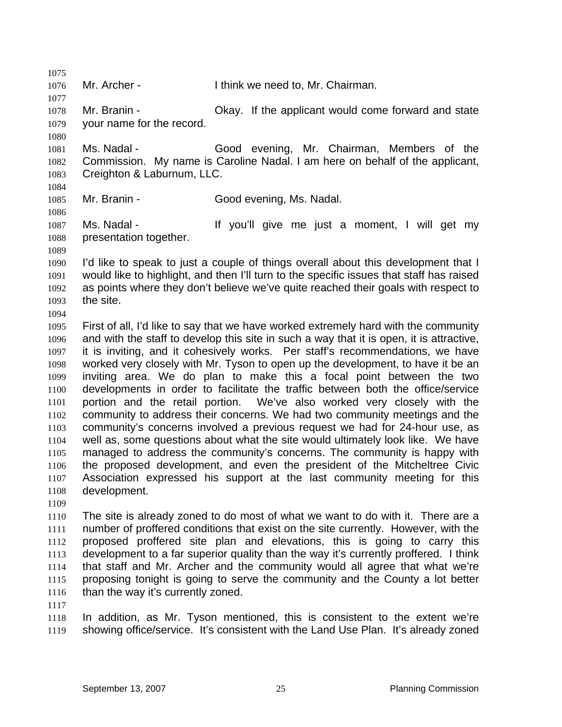1075 1076 1077 1078 1079 1080 1081 1082 1083 1084 1085 1086 1087 1088 1089 1090 1091 1092 1093 1094 1095 1096 1097 1098 1099 1100 1101 1102 1103 1104 1105 1106 1107 1108 1109 1110 1111 1112 1113 1114 Mr. Archer - Think we need to, Mr. Chairman. Mr. Branin - Chay. If the applicant would come forward and state your name for the record. Ms. Nadal - Good evening, Mr. Chairman, Members of the Commission. My name is Caroline Nadal. I am here on behalf of the applicant, Creighton & Laburnum, LLC. Mr. Branin - Good evening, Ms. Nadal. Ms. Nadal - The Music of If you'll give me just a moment, I will get my presentation together. I'd like to speak to just a couple of things overall about this development that I would like to highlight, and then I'll turn to the specific issues that staff has raised as points where they don't believe we've quite reached their goals with respect to the site. First of all, I'd like to say that we have worked extremely hard with the community and with the staff to develop this site in such a way that it is open, it is attractive, it is inviting, and it cohesively works. Per staff's recommendations, we have worked very closely with Mr. Tyson to open up the development, to have it be an inviting area. We do plan to make this a focal point between the two developments in order to facilitate the traffic between both the office/service portion and the retail portion. We've also worked very closely with the community to address their concerns. We had two community meetings and the community's concerns involved a previous request we had for 24-hour use, as well as, some questions about what the site would ultimately look like. We have managed to address the community's concerns. The community is happy with the proposed development, and even the president of the Mitcheltree Civic Association expressed his support at the last community meeting for this development. The site is already zoned to do most of what we want to do with it. There are a number of proffered conditions that exist on the site currently. However, with the proposed proffered site plan and elevations, this is going to carry this development to a far superior quality than the way it's currently proffered. I think that staff and Mr. Archer and the community would all agree that what we're

1115 1116 1117

1118 1119 In addition, as Mr. Tyson mentioned, this is consistent to the extent we're showing office/service. It's consistent with the Land Use Plan. It's already zoned

than the way it's currently zoned.

proposing tonight is going to serve the community and the County a lot better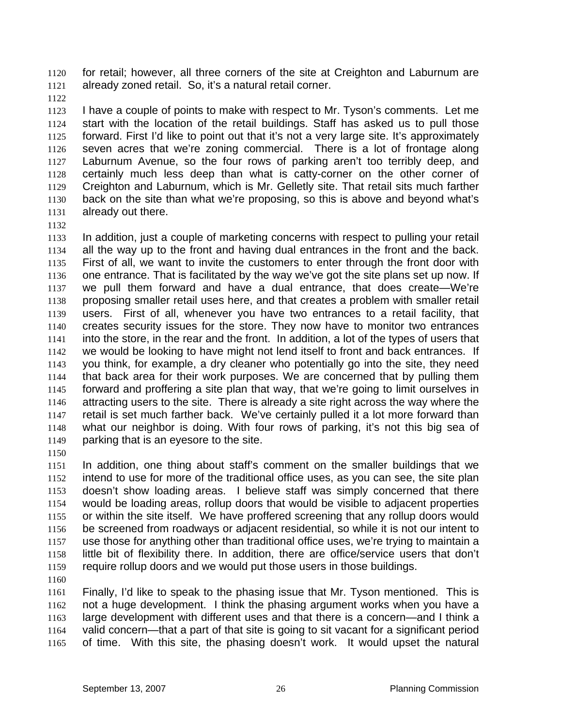for retail; however, all three corners of the site at Creighton and Laburnum are already zoned retail. So, it's a natural retail corner. 1120 1121

1122

1123 1124 1125 1126 1127 1128 1129 1130 1131 I have a couple of points to make with respect to Mr. Tyson's comments. Let me start with the location of the retail buildings. Staff has asked us to pull those forward. First I'd like to point out that it's not a very large site. It's approximately seven acres that we're zoning commercial. There is a lot of frontage along Laburnum Avenue, so the four rows of parking aren't too terribly deep, and certainly much less deep than what is catty-corner on the other corner of Creighton and Laburnum, which is Mr. Gelletly site. That retail sits much farther back on the site than what we're proposing, so this is above and beyond what's already out there.

1132

1133 1134 1135 1136 1137 1138 1139 1140 1141 1142 1143 1144 1145 1146 1147 1148 1149 In addition, just a couple of marketing concerns with respect to pulling your retail all the way up to the front and having dual entrances in the front and the back. First of all, we want to invite the customers to enter through the front door with one entrance. That is facilitated by the way we've got the site plans set up now. If we pull them forward and have a dual entrance, that does create—We're proposing smaller retail uses here, and that creates a problem with smaller retail users. First of all, whenever you have two entrances to a retail facility, that creates security issues for the store. They now have to monitor two entrances into the store, in the rear and the front. In addition, a lot of the types of users that we would be looking to have might not lend itself to front and back entrances. If you think, for example, a dry cleaner who potentially go into the site, they need that back area for their work purposes. We are concerned that by pulling them forward and proffering a site plan that way, that we're going to limit ourselves in attracting users to the site. There is already a site right across the way where the retail is set much farther back. We've certainly pulled it a lot more forward than what our neighbor is doing. With four rows of parking, it's not this big sea of parking that is an eyesore to the site.

1150

1151 1152 1153 1154 1155 1156 1157 1158 1159 In addition, one thing about staff's comment on the smaller buildings that we intend to use for more of the traditional office uses, as you can see, the site plan doesn't show loading areas. I believe staff was simply concerned that there would be loading areas, rollup doors that would be visible to adjacent properties or within the site itself. We have proffered screening that any rollup doors would be screened from roadways or adjacent residential, so while it is not our intent to use those for anything other than traditional office uses, we're trying to maintain a little bit of flexibility there. In addition, there are office/service users that don't require rollup doors and we would put those users in those buildings.

1160

1161 1162 1163 1164 1165 Finally, I'd like to speak to the phasing issue that Mr. Tyson mentioned. This is not a huge development. I think the phasing argument works when you have a large development with different uses and that there is a concern—and I think a valid concern—that a part of that site is going to sit vacant for a significant period of time. With this site, the phasing doesn't work. It would upset the natural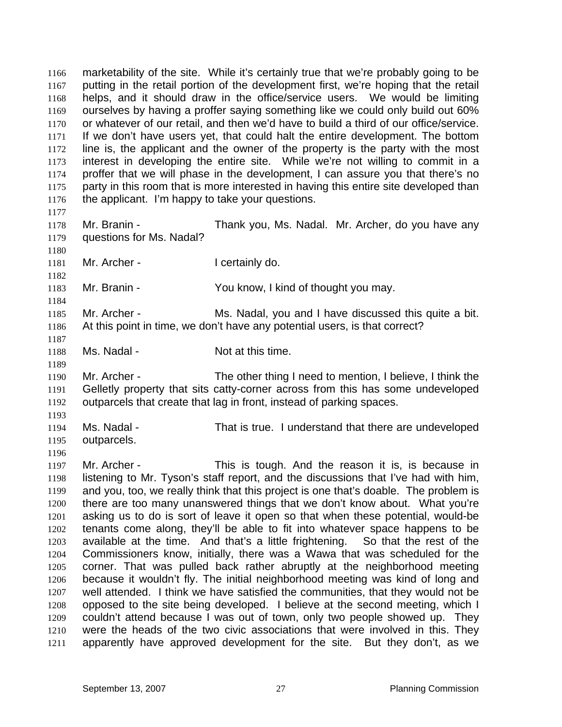marketability of the site. While it's certainly true that we're probably going to be putting in the retail portion of the development first, we're hoping that the retail helps, and it should draw in the office/service users. We would be limiting ourselves by having a proffer saying something like we could only build out 60% or whatever of our retail, and then we'd have to build a third of our office/service. If we don't have users yet, that could halt the entire development. The bottom line is, the applicant and the owner of the property is the party with the most interest in developing the entire site. While we're not willing to commit in a proffer that we will phase in the development, I can assure you that there's no party in this room that is more interested in having this entire site developed than the applicant. I'm happy to take your questions. 1166 1167 1168 1169 1170 1171 1172 1173 1174 1175 1176 1177 1178 1179 1180 1181 1182 1183 1184 1185 1186 1187 1188 1189 1190 1191 1192 1193 1194 1195 1196 1197 1198 1199 1200 1201 1202 1203 1204 1205 1206 1207 1208 1209 1210 1211 Mr. Branin - Thank you, Ms. Nadal. Mr. Archer, do you have any questions for Ms. Nadal? Mr. Archer - I certainly do. Mr. Branin - You know, I kind of thought you may. Mr. Archer - Ms. Nadal, you and I have discussed this quite a bit. At this point in time, we don't have any potential users, is that correct? Ms. Nadal - Not at this time. Mr. Archer - The other thing I need to mention, I believe, I think the Gelletly property that sits catty-corner across from this has some undeveloped outparcels that create that lag in front, instead of parking spaces. Ms. Nadal - That is true. I understand that there are undeveloped outparcels. Mr. Archer - This is tough. And the reason it is, is because in listening to Mr. Tyson's staff report, and the discussions that I've had with him, and you, too, we really think that this project is one that's doable. The problem is there are too many unanswered things that we don't know about. What you're asking us to do is sort of leave it open so that when these potential, would-be tenants come along, they'll be able to fit into whatever space happens to be available at the time. And that's a little frightening. So that the rest of the Commissioners know, initially, there was a Wawa that was scheduled for the corner. That was pulled back rather abruptly at the neighborhood meeting because it wouldn't fly. The initial neighborhood meeting was kind of long and well attended. I think we have satisfied the communities, that they would not be opposed to the site being developed. I believe at the second meeting, which I couldn't attend because I was out of town, only two people showed up. They were the heads of the two civic associations that were involved in this. They apparently have approved development for the site. But they don't, as we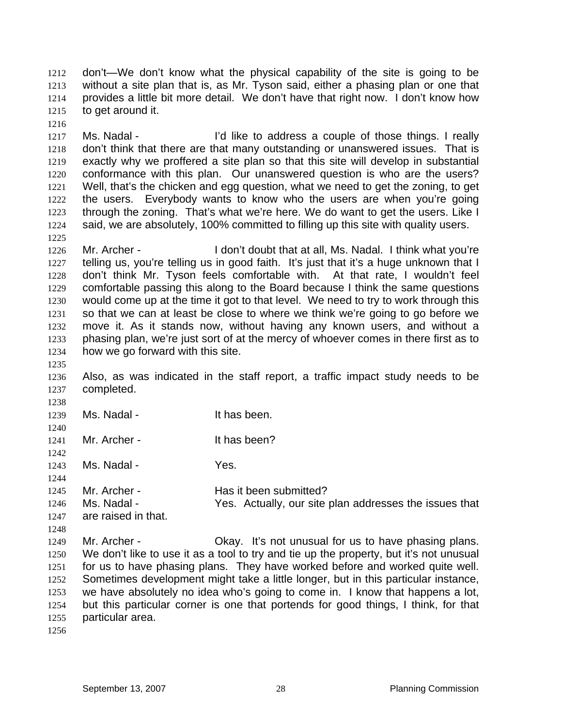don't—We don't know what the physical capability of the site is going to be without a site plan that is, as Mr. Tyson said, either a phasing plan or one that provides a little bit more detail. We don't have that right now. I don't know how to get around it. 1212 1213 1214 1215

- 1217 1218 1219 1220 1221 1222 1223 1224 Ms. Nadal - I'd like to address a couple of those things. I really don't think that there are that many outstanding or unanswered issues. That is exactly why we proffered a site plan so that this site will develop in substantial conformance with this plan. Our unanswered question is who are the users? Well, that's the chicken and egg question, what we need to get the zoning, to get the users. Everybody wants to know who the users are when you're going through the zoning. That's what we're here. We do want to get the users. Like I said, we are absolutely, 100% committed to filling up this site with quality users.
- 1226 1227 1228 1229 1230 1231 1232 1233 1234 Mr. Archer - I don't doubt that at all, Ms. Nadal. I think what you're telling us, you're telling us in good faith. It's just that it's a huge unknown that I don't think Mr. Tyson feels comfortable with. At that rate, I wouldn't feel comfortable passing this along to the Board because I think the same questions would come up at the time it got to that level. We need to try to work through this so that we can at least be close to where we think we're going to go before we move it. As it stands now, without having any known users, and without a phasing plan, we're just sort of at the mercy of whoever comes in there first as to how we go forward with this site.
- 1235

1238

1240

1242

1216

1225

1236 1237 Also, as was indicated in the staff report, a traffic impact study needs to be completed.

- 1239 Ms. Nadal - The Manus of the has been.
- 1241 Mr. Archer - The It has been?

1243 Ms. Nadal - The Yes.

- 1244
- 1245 Mr. Archer - The Has it been submitted?
- 1246 1247 Ms. Nadal - Yes. Actually, our site plan addresses the issues that are raised in that.
- 1248

1249 1250 1251 1252 1253 1254 1255 Mr. Archer - Chay. It's not unusual for us to have phasing plans. We don't like to use it as a tool to try and tie up the property, but it's not unusual for us to have phasing plans. They have worked before and worked quite well. Sometimes development might take a little longer, but in this particular instance, we have absolutely no idea who's going to come in. I know that happens a lot, but this particular corner is one that portends for good things, I think, for that particular area.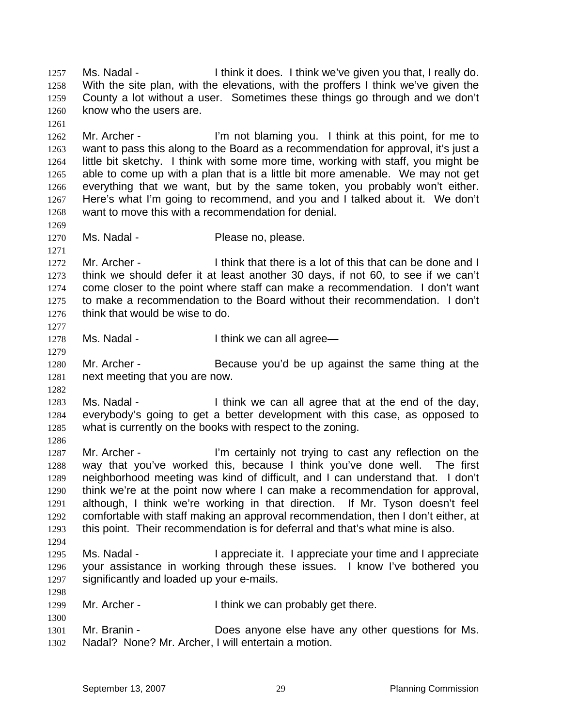Ms. Nadal - I think it does. I think we've given you that, I really do. With the site plan, with the elevations, with the proffers I think we've given the County a lot without a user. Sometimes these things go through and we don't know who the users are. 1257 1258 1259 1260 1261 1262 1263 1264 1265 1266 1267 1268 1269 1270 1271 1272 1273 1274 1275 1276 1277 1278 1279 1280 1281 1282 1283 1284 1285 1286 1287 1288 1289 1290 1291 1292 1293 1294 1295 1296 1297 1298 1299 1300 1301 1302 Mr. Archer - I'm not blaming you. I think at this point, for me to want to pass this along to the Board as a recommendation for approval, it's just a little bit sketchy. I think with some more time, working with staff, you might be able to come up with a plan that is a little bit more amenable. We may not get everything that we want, but by the same token, you probably won't either. Here's what I'm going to recommend, and you and I talked about it. We don't want to move this with a recommendation for denial. Ms. Nadal - Please no, please. Mr. Archer - I think that there is a lot of this that can be done and I think we should defer it at least another 30 days, if not 60, to see if we can't come closer to the point where staff can make a recommendation. I don't want to make a recommendation to the Board without their recommendation. I don't think that would be wise to do. Ms. Nadal - Think we can all agree— Mr. Archer - Because you'd be up against the same thing at the next meeting that you are now. Ms. Nadal - I think we can all agree that at the end of the day, everybody's going to get a better development with this case, as opposed to what is currently on the books with respect to the zoning. Mr. Archer - I'm certainly not trying to cast any reflection on the way that you've worked this, because I think you've done well. The first neighborhood meeting was kind of difficult, and I can understand that. I don't think we're at the point now where I can make a recommendation for approval, although, I think we're working in that direction. If Mr. Tyson doesn't feel comfortable with staff making an approval recommendation, then I don't either, at this point. Their recommendation is for deferral and that's what mine is also. Ms. Nadal - I appreciate it. I appreciate your time and I appreciate your assistance in working through these issues. I know I've bothered you significantly and loaded up your e-mails. Mr. Archer - Think we can probably get there. Mr. Branin - **Does anyone else have any other questions for Ms.** Nadal? None? Mr. Archer, I will entertain a motion.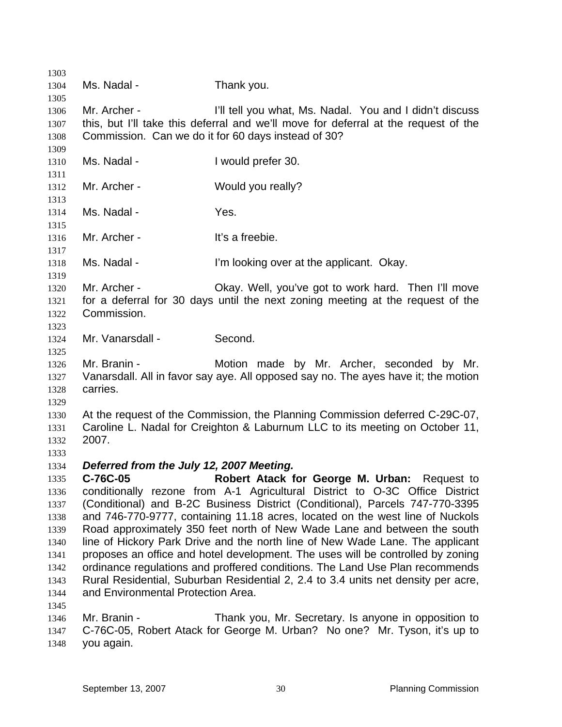1303 1304 1305 1306 1307 1308 1309 1310 1311 1312 1313 1314 1315 1316 1317 1318 1319 1320 1321 1322 1323 1324 1325 1326 1327 1328 1329 1330 1331 1332 1333 1334 1335 1336 1337 1338 1339 1340 1341 1342 1343 1344 1345 1346 1347 1348 Ms. Nadal - Thank you. Mr. Archer - **I'll tell you what, Ms. Nadal.** You and I didn't discuss this, but I'll take this deferral and we'll move for deferral at the request of the Commission. Can we do it for 60 days instead of 30? Ms. Nadal - The Music Prefer 30. Mr. Archer - Would you really? Ms. Nadal - Yes. Mr. Archer - It's a freebie. Ms. Nadal - The I'm looking over at the applicant. Okay. Mr. Archer - Okay. Well, you've got to work hard. Then I'll move for a deferral for 30 days until the next zoning meeting at the request of the Commission. Mr. Vanarsdall - Second. Mr. Branin - The Motion made by Mr. Archer, seconded by Mr. Vanarsdall. All in favor say aye. All opposed say no. The ayes have it; the motion carries. At the request of the Commission, the Planning Commission deferred C-29C-07, Caroline L. Nadal for Creighton & Laburnum LLC to its meeting on October 11, 2007. *Deferred from the July 12, 2007 Meeting.*  **C-76C-05 Robert Atack for George M. Urban:** Request to conditionally rezone from A-1 Agricultural District to O-3C Office District (Conditional) and B-2C Business District (Conditional), Parcels 747-770-3395 and 746-770-9777, containing 11.18 acres, located on the west line of Nuckols Road approximately 350 feet north of New Wade Lane and between the south line of Hickory Park Drive and the north line of New Wade Lane. The applicant proposes an office and hotel development. The uses will be controlled by zoning ordinance regulations and proffered conditions. The Land Use Plan recommends Rural Residential, Suburban Residential 2, 2.4 to 3.4 units net density per acre, and Environmental Protection Area. Mr. Branin - Thank you, Mr. Secretary. Is anyone in opposition to C-76C-05, Robert Atack for George M. Urban? No one? Mr. Tyson, it's up to you again.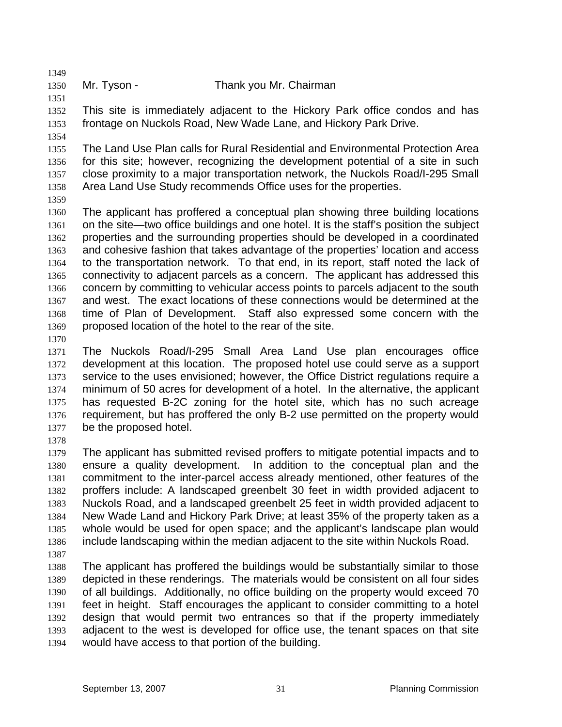1350 Mr. Tyson - Thank you Mr. Chairman

1352 1353 This site is immediately adjacent to the Hickory Park office condos and has frontage on Nuckols Road, New Wade Lane, and Hickory Park Drive.

1354

1349

1351

1355 1356 1357 1358 The Land Use Plan calls for Rural Residential and Environmental Protection Area for this site; however, recognizing the development potential of a site in such close proximity to a major transportation network, the Nuckols Road/I-295 Small Area Land Use Study recommends Office uses for the properties.

1359

1360 1361 1362 1363 1364 1365 1366 1367 1368 1369 The applicant has proffered a conceptual plan showing three building locations on the site—two office buildings and one hotel. It is the staff's position the subject properties and the surrounding properties should be developed in a coordinated and cohesive fashion that takes advantage of the properties' location and access to the transportation network. To that end, in its report, staff noted the lack of connectivity to adjacent parcels as a concern. The applicant has addressed this concern by committing to vehicular access points to parcels adjacent to the south and west. The exact locations of these connections would be determined at the time of Plan of Development. Staff also expressed some concern with the proposed location of the hotel to the rear of the site.

1370

1371 1372 1373 1374 1375 1376 1377 The Nuckols Road/I-295 Small Area Land Use plan encourages office development at this location. The proposed hotel use could serve as a support service to the uses envisioned; however, the Office District regulations require a minimum of 50 acres for development of a hotel. In the alternative, the applicant has requested B-2C zoning for the hotel site, which has no such acreage requirement, but has proffered the only B-2 use permitted on the property would be the proposed hotel.

1378

1379 1380 1381 1382 1383 1384 1385 1386 The applicant has submitted revised proffers to mitigate potential impacts and to ensure a quality development. In addition to the conceptual plan and the commitment to the inter-parcel access already mentioned, other features of the proffers include: A landscaped greenbelt 30 feet in width provided adjacent to Nuckols Road, and a landscaped greenbelt 25 feet in width provided adjacent to New Wade Land and Hickory Park Drive; at least 35% of the property taken as a whole would be used for open space; and the applicant's landscape plan would include landscaping within the median adjacent to the site within Nuckols Road.

1387

1388 1389 1390 1391 1392 1393 1394 The applicant has proffered the buildings would be substantially similar to those depicted in these renderings. The materials would be consistent on all four sides of all buildings. Additionally, no office building on the property would exceed 70 feet in height. Staff encourages the applicant to consider committing to a hotel design that would permit two entrances so that if the property immediately adjacent to the west is developed for office use, the tenant spaces on that site would have access to that portion of the building.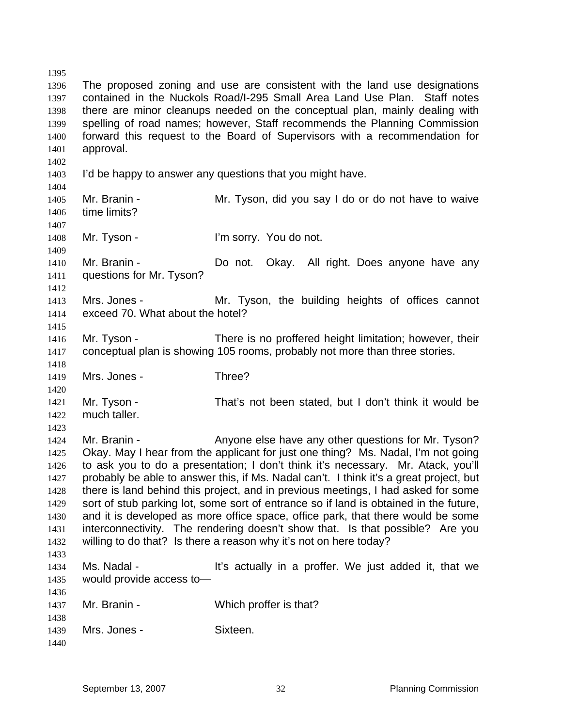1395 1396 1397 1398 1399 1400 1401 1402 1403 1404 1405 1406 1407 1408 1409 1410 1411 1412 1413 1414 1415 1416 1417 1418 1419 1420 1421 1422 1423 1424 1425 1426 1427 1428 1429 1430 1431 1432 1433 1434 1435 1436 1437 1438 1439 1440 The proposed zoning and use are consistent with the land use designations contained in the Nuckols Road/I-295 Small Area Land Use Plan. Staff notes there are minor cleanups needed on the conceptual plan, mainly dealing with spelling of road names; however, Staff recommends the Planning Commission forward this request to the Board of Supervisors with a recommendation for approval. I'd be happy to answer any questions that you might have. Mr. Branin - Mr. Tyson, did you say I do or do not have to waive time limits? Mr. Tyson - I'm sorry. You do not. Mr. Branin - **Do not.** Okay. All right. Does anyone have any questions for Mr. Tyson? Mrs. Jones - The Mr. Tyson, the building heights of offices cannot exceed 70. What about the hotel? Mr. Tyson - There is no proffered height limitation; however, their conceptual plan is showing 105 rooms, probably not more than three stories. Mrs. Jones - Three? Mr. Tyson - That's not been stated, but I don't think it would be much taller. Mr. Branin - The Surve else have any other questions for Mr. Tyson? Okay. May I hear from the applicant for just one thing? Ms. Nadal, I'm not going to ask you to do a presentation; I don't think it's necessary. Mr. Atack, you'll probably be able to answer this, if Ms. Nadal can't. I think it's a great project, but there is land behind this project, and in previous meetings, I had asked for some sort of stub parking lot, some sort of entrance so if land is obtained in the future, and it is developed as more office space, office park, that there would be some interconnectivity. The rendering doesn't show that. Is that possible? Are you willing to do that? Is there a reason why it's not on here today? Ms. Nadal - The Music of the Sactually in a proffer. We just added it, that we would provide access to— Mr. Branin - Which proffer is that? Mrs. Jones - Sixteen.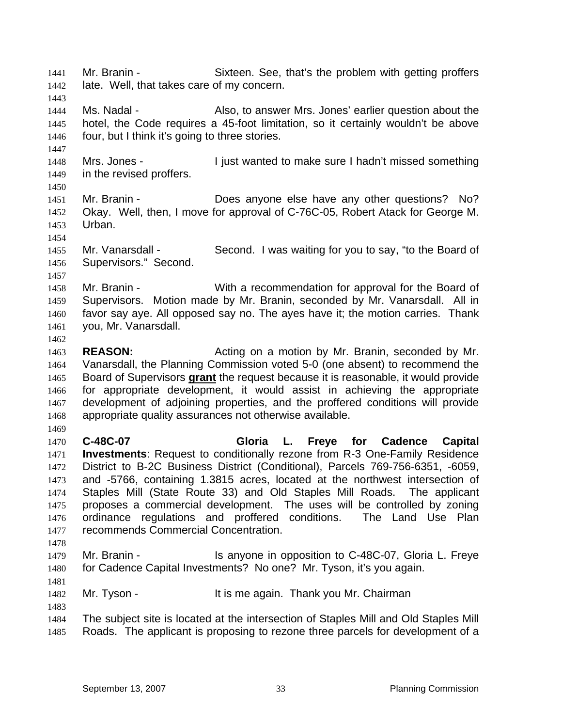Mr. Branin - Sixteen. See, that's the problem with getting proffers late. Well, that takes care of my concern. 1441 1442 1443 1444 1445 1446 1447 1448 1449 1450 1451 1452 1453 1454 1455 1456 1457 1458 1459 1460 1461 1462 1463 1464 Ms. Nadal - Also, to answer Mrs. Jones' earlier question about the hotel, the Code requires a 45-foot limitation, so it certainly wouldn't be above four, but I think it's going to three stories. Mrs. Jones - I just wanted to make sure I hadn't missed something in the revised proffers. Mr. Branin - Does anyone else have any other questions? No? Okay. Well, then, I move for approval of C-76C-05, Robert Atack for George M. Urban. Mr. Vanarsdall - Second. I was waiting for you to say, "to the Board of Supervisors." Second. Mr. Branin - With a recommendation for approval for the Board of Supervisors. Motion made by Mr. Branin, seconded by Mr. Vanarsdall. All in favor say aye. All opposed say no. The ayes have it; the motion carries. Thank you, Mr. Vanarsdall. **REASON:** Acting on a motion by Mr. Branin, seconded by Mr. Vanarsdall, the Planning Commission voted 5-0 (one absent) to recommend the Board of Supervisors **grant** the request because it is reasonable, it would provide for appropriate development, it would assist in achieving the appropriate development of adjoining properties, and the proffered conditions will provide appropriate quality assurances not otherwise available. 1465 1466 1467 1468 1469 1470 1471 1472 1473 1474 1475 1476 1477 1478 1479 1480 1481 1482 1483 1484 1485 **C-48C-07 Gloria L. Freye for Cadence Capital Investments**: Request to conditionally rezone from R-3 One-Family Residence District to B-2C Business District (Conditional), Parcels 769-756-6351, -6059, and -5766, containing 1.3815 acres, located at the northwest intersection of Staples Mill (State Route 33) and Old Staples Mill Roads. The applicant proposes a commercial development. The uses will be controlled by zoning ordinance regulations and proffered conditions. The Land Use Plan recommends Commercial Concentration. Mr. Branin - Is anyone in opposition to C-48C-07, Gloria L. Freye for Cadence Capital Investments? No one? Mr. Tyson, it's you again. Mr. Tyson - It is me again. Thank you Mr. Chairman The subject site is located at the intersection of Staples Mill and Old Staples Mill Roads. The applicant is proposing to rezone three parcels for development of a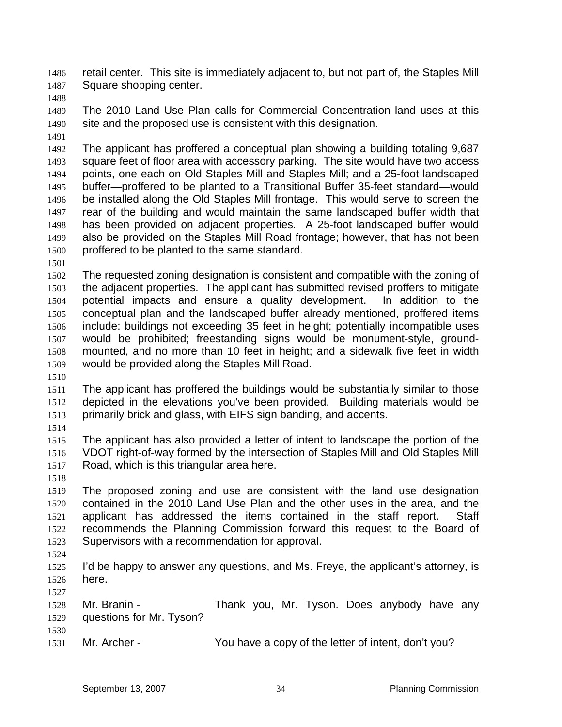retail center. This site is immediately adjacent to, but not part of, the Staples Mill Square shopping center. 1486 1487

1488

1489 1490 The 2010 Land Use Plan calls for Commercial Concentration land uses at this site and the proposed use is consistent with this designation.

1491

1492 1493 1494 1495 1496 1497 1498 1499 1500 The applicant has proffered a conceptual plan showing a building totaling 9,687 square feet of floor area with accessory parking. The site would have two access points, one each on Old Staples Mill and Staples Mill; and a 25-foot landscaped buffer—proffered to be planted to a Transitional Buffer 35-feet standard—would be installed along the Old Staples Mill frontage. This would serve to screen the rear of the building and would maintain the same landscaped buffer width that has been provided on adjacent properties. A 25-foot landscaped buffer would also be provided on the Staples Mill Road frontage; however, that has not been proffered to be planted to the same standard.

1501

1502 1503 1504 1505 1506 1507 1508 1509 The requested zoning designation is consistent and compatible with the zoning of the adjacent properties. The applicant has submitted revised proffers to mitigate potential impacts and ensure a quality development. In addition to the conceptual plan and the landscaped buffer already mentioned, proffered items include: buildings not exceeding 35 feet in height; potentially incompatible uses would be prohibited; freestanding signs would be monument-style, groundmounted, and no more than 10 feet in height; and a sidewalk five feet in width would be provided along the Staples Mill Road.

1510

1511 1512 1513 The applicant has proffered the buildings would be substantially similar to those depicted in the elevations you've been provided. Building materials would be primarily brick and glass, with EIFS sign banding, and accents.

1514

1515 1516 1517 The applicant has also provided a letter of intent to landscape the portion of the VDOT right-of-way formed by the intersection of Staples Mill and Old Staples Mill Road, which is this triangular area here.

1518

1519 1520 1521 1522 1523 The proposed zoning and use are consistent with the land use designation contained in the 2010 Land Use Plan and the other uses in the area, and the applicant has addressed the items contained in the staff report. Staff recommends the Planning Commission forward this request to the Board of Supervisors with a recommendation for approval.

1524

1525 1526 I'd be happy to answer any questions, and Ms. Freye, the applicant's attorney, is here.

1527

1528 1529 1530 Mr. Branin - Thank you, Mr. Tyson. Does anybody have any questions for Mr. Tyson?

1531 Mr. Archer - You have a copy of the letter of intent, don't you?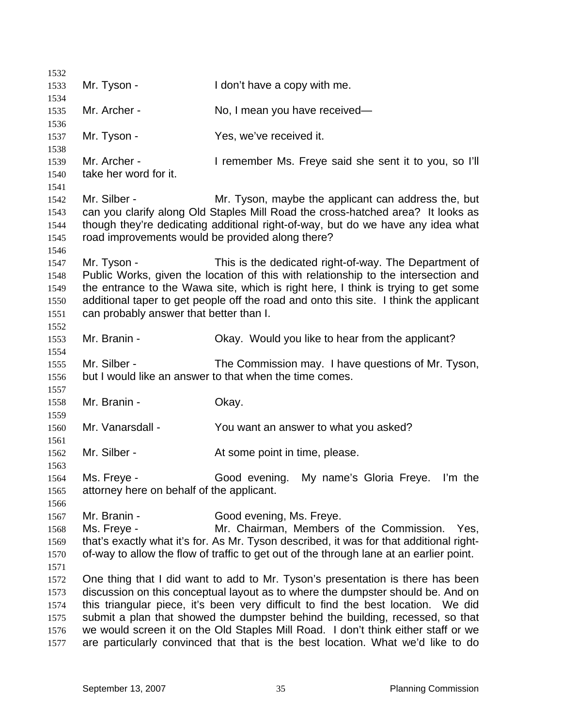| 1532         |                                                                                                                                                                            |                                                                                                                                             |  |
|--------------|----------------------------------------------------------------------------------------------------------------------------------------------------------------------------|---------------------------------------------------------------------------------------------------------------------------------------------|--|
| 1533         | Mr. Tyson -                                                                                                                                                                | I don't have a copy with me.                                                                                                                |  |
| 1534         |                                                                                                                                                                            |                                                                                                                                             |  |
| 1535         | Mr. Archer -                                                                                                                                                               | No, I mean you have received-                                                                                                               |  |
| 1536<br>1537 | Mr. Tyson -                                                                                                                                                                | Yes, we've received it.                                                                                                                     |  |
| 1538         |                                                                                                                                                                            |                                                                                                                                             |  |
| 1539         | Mr. Archer -                                                                                                                                                               | I remember Ms. Freye said she sent it to you, so I'll                                                                                       |  |
| 1540         | take her word for it.                                                                                                                                                      |                                                                                                                                             |  |
| 1541         |                                                                                                                                                                            |                                                                                                                                             |  |
| 1542         | Mr. Silber -                                                                                                                                                               | Mr. Tyson, maybe the applicant can address the, but                                                                                         |  |
| 1543         |                                                                                                                                                                            | can you clarify along Old Staples Mill Road the cross-hatched area? It looks as                                                             |  |
| 1544         | though they're dedicating additional right-of-way, but do we have any idea what                                                                                            |                                                                                                                                             |  |
| 1545         |                                                                                                                                                                            | road improvements would be provided along there?                                                                                            |  |
| 1546         |                                                                                                                                                                            |                                                                                                                                             |  |
| 1547<br>1548 | Mr. Tyson -                                                                                                                                                                | This is the dedicated right-of-way. The Department of<br>Public Works, given the location of this with relationship to the intersection and |  |
| 1549         |                                                                                                                                                                            |                                                                                                                                             |  |
| 1550         | the entrance to the Wawa site, which is right here, I think is trying to get some<br>additional taper to get people off the road and onto this site. I think the applicant |                                                                                                                                             |  |
| 1551         | can probably answer that better than I.                                                                                                                                    |                                                                                                                                             |  |
| 1552         |                                                                                                                                                                            |                                                                                                                                             |  |
| 1553         | Mr. Branin -                                                                                                                                                               | Okay. Would you like to hear from the applicant?                                                                                            |  |
| 1554         |                                                                                                                                                                            |                                                                                                                                             |  |
| 1555         | Mr. Silber -                                                                                                                                                               | The Commission may. I have questions of Mr. Tyson,                                                                                          |  |
| 1556         |                                                                                                                                                                            | but I would like an answer to that when the time comes.                                                                                     |  |
| 1557         |                                                                                                                                                                            |                                                                                                                                             |  |
| 1558         | Mr. Branin -                                                                                                                                                               | Okay.                                                                                                                                       |  |
| 1559<br>1560 | Mr. Vanarsdall -                                                                                                                                                           | You want an answer to what you asked?                                                                                                       |  |
| 1561         |                                                                                                                                                                            |                                                                                                                                             |  |
| 1562         | Mr. Silber -                                                                                                                                                               | At some point in time, please.                                                                                                              |  |
| 1563         |                                                                                                                                                                            |                                                                                                                                             |  |
| 1564         | Ms. Freye -                                                                                                                                                                | Good evening. My name's Gloria Freye.<br>I'm the                                                                                            |  |
| 1565         | attorney here on behalf of the applicant.                                                                                                                                  |                                                                                                                                             |  |
| 1566         |                                                                                                                                                                            |                                                                                                                                             |  |
| 1567         | Mr. Branin -                                                                                                                                                               | Good evening, Ms. Freye.                                                                                                                    |  |
| 1568         | Ms. Freye -                                                                                                                                                                | Mr. Chairman, Members of the Commission.<br>Yes.                                                                                            |  |
| 1569         |                                                                                                                                                                            | that's exactly what it's for. As Mr. Tyson described, it was for that additional right-                                                     |  |
| 1570         |                                                                                                                                                                            | of-way to allow the flow of traffic to get out of the through lane at an earlier point.                                                     |  |
| 1571         |                                                                                                                                                                            |                                                                                                                                             |  |
| 1572<br>1573 | One thing that I did want to add to Mr. Tyson's presentation is there has been                                                                                             |                                                                                                                                             |  |
| 1574         | discussion on this conceptual layout as to where the dumpster should be. And on<br>this triangular piece, it's been very difficult to find the best location. We did       |                                                                                                                                             |  |
| 1575         |                                                                                                                                                                            | submit a plan that showed the dumpster behind the building, recessed, so that                                                               |  |
| 1576         |                                                                                                                                                                            | we would screen it on the Old Staples Mill Road. I don't think either staff or we                                                           |  |
| 1577         |                                                                                                                                                                            | are particularly convinced that that is the best location. What we'd like to do                                                             |  |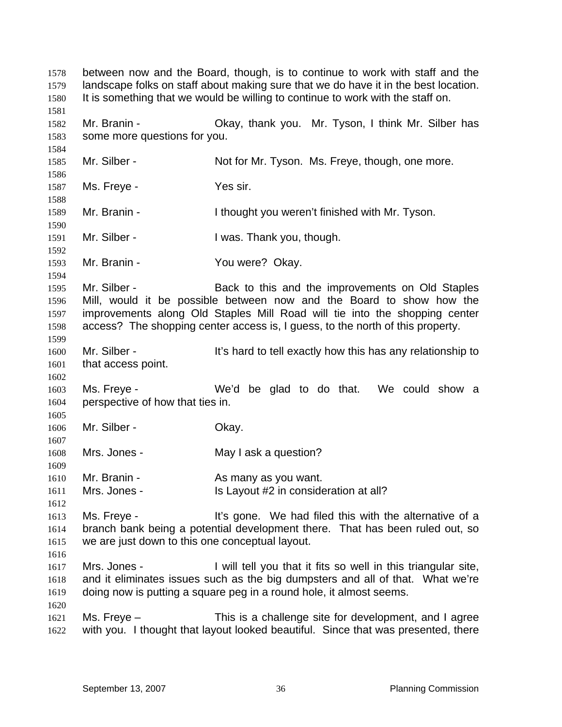between now and the Board, though, is to continue to work with staff and the landscape folks on staff about making sure that we do have it in the best location. It is something that we would be willing to continue to work with the staff on. 1578 1579 1580 1581 1582 1583 1584 1585 1586 1587 1588 1589 1590 1591 1592 1593 1594 1595 1596 1597 1598 1599 1600 1601 1602 1603 1604 1605 1606 1607 1608 1609 1610 1611 1612 1613 1614 1615 1616 1617 1618 1619 1620 1621 1622 Mr. Branin - Ckay, thank you. Mr. Tyson, I think Mr. Silber has some more questions for you. Mr. Silber - Not for Mr. Tyson. Ms. Freye, though, one more. Ms. Freye - Yes sir. Mr. Branin - The Uthought you weren't finished with Mr. Tyson. Mr. Silber - I was. Thank you, though. Mr. Branin - You were? Okay. Mr. Silber - **Back to this and the improvements on Old Staples** Mill, would it be possible between now and the Board to show how the improvements along Old Staples Mill Road will tie into the shopping center access? The shopping center access is, I guess, to the north of this property. Mr. Silber - The Silber - It's hard to tell exactly how this has any relationship to that access point. Ms. Freye - We'd be glad to do that. We could show a perspective of how that ties in. Mr. Silber - Chay. Mrs. Jones - The May I ask a question? Mr. Branin - The As many as you want. Mrs. Jones - Is Layout #2 in consideration at all? Ms. Freye - The Millium of the state of a little space. We had filed this with the alternative of a branch bank being a potential development there. That has been ruled out, so we are just down to this one conceptual layout. Mrs. Jones - I will tell you that it fits so well in this triangular site, and it eliminates issues such as the big dumpsters and all of that. What we're doing now is putting a square peg in a round hole, it almost seems. Ms. Freye – This is a challenge site for development, and I agree with you. I thought that layout looked beautiful. Since that was presented, there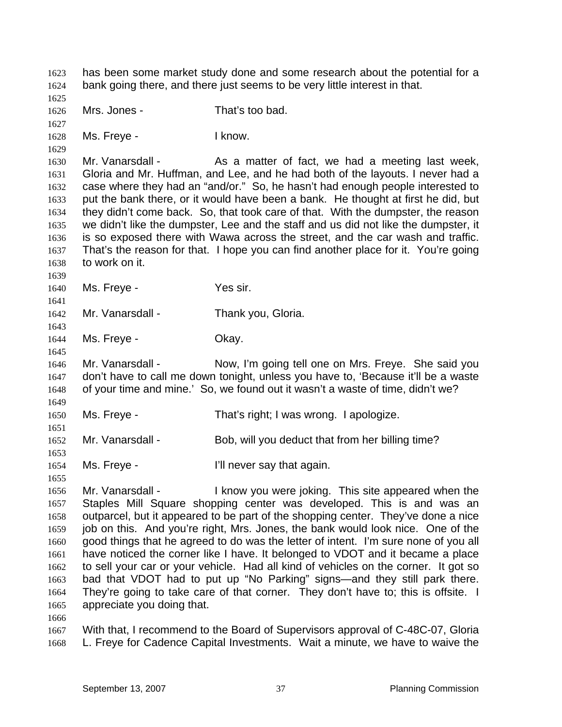has been some market study done and some research about the potential for a bank going there, and there just seems to be very little interest in that. 1623 1624 1625 1626 1627 1628 1629 1630 1631 1632 1633 1634 1635 1636 1637 1638 1639 1640 1641 1642 1643 1644 1645 1646 1647 1648 1649 1650 1651 1652 1653 1654 1655 1656 1657 1658 1659 1660 1661 1662 1663 1664 1665 1666 1667 1668 Mrs. Jones - That's too bad. Ms. Freye - The Revolution of the I know. Mr. Vanarsdall - As a matter of fact, we had a meeting last week, Gloria and Mr. Huffman, and Lee, and he had both of the layouts. I never had a case where they had an "and/or." So, he hasn't had enough people interested to put the bank there, or it would have been a bank. He thought at first he did, but they didn't come back. So, that took care of that. With the dumpster, the reason we didn't like the dumpster, Lee and the staff and us did not like the dumpster, it is so exposed there with Wawa across the street, and the car wash and traffic. That's the reason for that. I hope you can find another place for it. You're going to work on it. Ms. Freye - Yes sir. Mr. Vanarsdall - Thank you, Gloria. Ms. Freye - Chay. Mr. Vanarsdall - Now, I'm going tell one on Mrs. Freye. She said you don't have to call me down tonight, unless you have to, 'Because it'll be a waste of your time and mine.' So, we found out it wasn't a waste of time, didn't we? Ms. Freye - That's right; I was wrong. I apologize. Mr. Vanarsdall - Bob, will you deduct that from her billing time? Ms. Freye - The Music Contract Till never say that again. Mr. Vanarsdall - I know you were joking. This site appeared when the Staples Mill Square shopping center was developed. This is and was an outparcel, but it appeared to be part of the shopping center. They've done a nice job on this. And you're right, Mrs. Jones, the bank would look nice. One of the good things that he agreed to do was the letter of intent. I'm sure none of you all have noticed the corner like I have. It belonged to VDOT and it became a place to sell your car or your vehicle. Had all kind of vehicles on the corner. It got so bad that VDOT had to put up "No Parking" signs—and they still park there. They're going to take care of that corner. They don't have to; this is offsite. I appreciate you doing that. With that, I recommend to the Board of Supervisors approval of C-48C-07, Gloria L. Freye for Cadence Capital Investments. Wait a minute, we have to waive the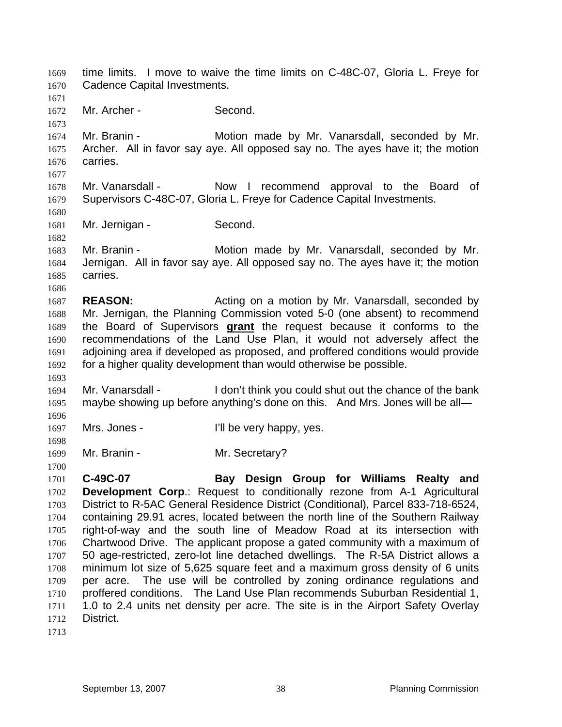time limits. I move to waive the time limits on C-48C-07, Gloria L. Freye for Cadence Capital Investments. 1669 1670 1671 1672 1673 1674 1675 1676 1677 1678 1679 1680 1681 1682 1683 1684 1685 1686 1687 1688 Mr. Archer - Second. Mr. Branin - **Motion made by Mr. Vanarsdall, seconded by Mr.** Archer. All in favor say aye. All opposed say no. The ayes have it; the motion carries. Mr. Vanarsdall - Now I recommend approval to the Board of Supervisors C-48C-07, Gloria L. Freye for Cadence Capital Investments. Mr. Jernigan - Second. Mr. Branin - Motion made by Mr. Vanarsdall, seconded by Mr. Jernigan. All in favor say aye. All opposed say no. The ayes have it; the motion carries. **REASON:** Acting on a motion by Mr. Vanarsdall, seconded by Mr. Jernigan, the Planning Commission voted 5-0 (one absent) to recommend the Board of Supervisors **grant** the request because it conforms to the recommendations of the Land Use Plan, it would not adversely affect the adjoining area if developed as proposed, and proffered conditions would provide for a higher quality development than would otherwise be possible. 1689 1690 1691 1692 1693 1694 1695 1696 1697 1698 1699 1700 1701 1702 1703 1704 1705 1706 1707 1708 1709 1710 1711 1712 1713 Mr. Vanarsdall - I don't think you could shut out the chance of the bank maybe showing up before anything's done on this. And Mrs. Jones will be all— Mrs. Jones - Till be very happy, yes. Mr. Branin - Mr. Secretary? **C-49C-07 Bay Design Group for Williams Realty and Development Corp.:** Request to conditionally rezone from A-1 Agricultural District to R-5AC General Residence District (Conditional), Parcel 833-718-6524, containing 29.91 acres, located between the north line of the Southern Railway right-of-way and the south line of Meadow Road at its intersection with Chartwood Drive. The applicant propose a gated community with a maximum of 50 age-restricted, zero-lot line detached dwellings. The R-5A District allows a minimum lot size of 5,625 square feet and a maximum gross density of 6 units per acre. The use will be controlled by zoning ordinance regulations and proffered conditions. The Land Use Plan recommends Suburban Residential 1, 1.0 to 2.4 units net density per acre. The site is in the Airport Safety Overlay District.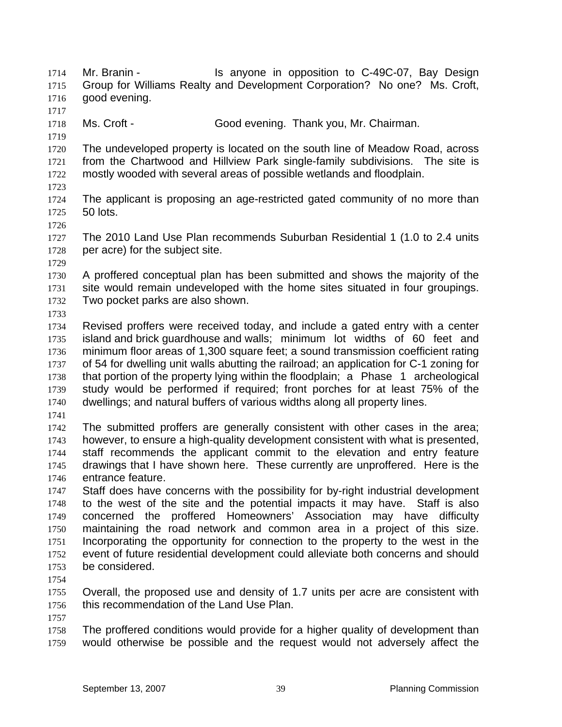Mr. Branin - The Standall Standard in opposition to C-49C-07, Bay Design Group for Williams Realty and Development Corporation? No one? Ms. Croft, good evening. 1714 1715 1716 1717 1718 1719 1720 1721 1722 1723 1724 1725 1726 1727 1728 1729 1730 1731 1732 1733 1734 1735 1736 1737 1738 1739 1740 1741 1742 1743 1744 1745 1746 1747 1748 1749 1750 1751 1752 1753 1754 1755 1756 1757 1758 1759 Ms. Croft - Good evening. Thank you, Mr. Chairman. The undeveloped property is located on the south line of Meadow Road, across from the Chartwood and Hillview Park single-family subdivisions. The site is mostly wooded with several areas of possible wetlands and floodplain. The applicant is proposing an age-restricted gated community of no more than 50 lots. The 2010 Land Use Plan recommends Suburban Residential 1 (1.0 to 2.4 units per acre) for the subject site. A proffered conceptual plan has been submitted and shows the majority of the site would remain undeveloped with the home sites situated in four groupings. Two pocket parks are also shown. Revised proffers were received today, and include a gated entry with a center island and brick guardhouse and walls; minimum lot widths of 60 feet and minimum floor areas of 1,300 square feet; a sound transmission coefficient rating of 54 for dwelling unit walls abutting the railroad; an application for C-1 zoning for that portion of the property lying within the floodplain; a Phase 1 archeological study would be performed if required; front porches for at least 75% of the dwellings; and natural buffers of various widths along all property lines. The submitted proffers are generally consistent with other cases in the area; however, to ensure a high-quality development consistent with what is presented, staff recommends the applicant commit to the elevation and entry feature drawings that I have shown here. These currently are unproffered. Here is the entrance feature. Staff does have concerns with the possibility for by-right industrial development to the west of the site and the potential impacts it may have. Staff is also concerned the proffered Homeowners' Association may have difficulty maintaining the road network and common area in a project of this size. Incorporating the opportunity for connection to the property to the west in the event of future residential development could alleviate both concerns and should be considered. Overall, the proposed use and density of 1.7 units per acre are consistent with this recommendation of the Land Use Plan. The proffered conditions would provide for a higher quality of development than would otherwise be possible and the request would not adversely affect the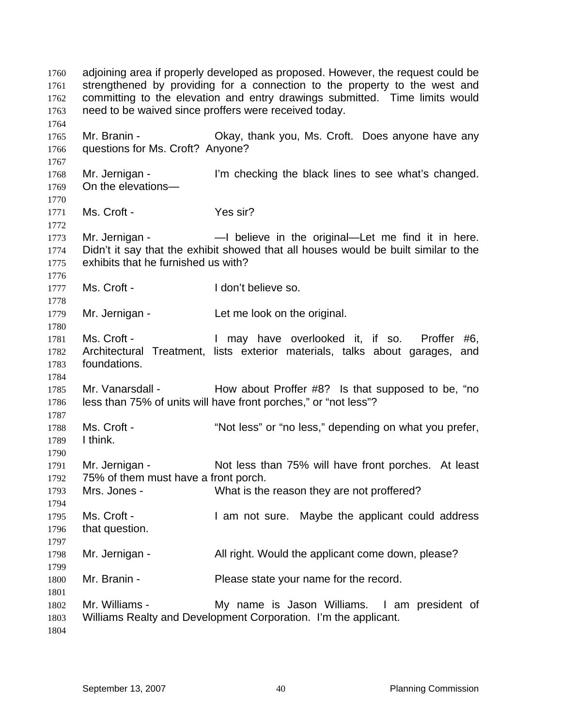adjoining area if properly developed as proposed. However, the request could be strengthened by providing for a connection to the property to the west and committing to the elevation and entry drawings submitted. Time limits would need to be waived since proffers were received today. 1760 1761 1762 1763 1764 1765 1766 1767 1768 1769 1770 1771 1772 1773 1774 1775 1776 1777 1778 1779 1780 1781 1782 1783 1784 1785 1786 1787 1788 1789 1790 1791 1792 1793 1794 1795 1796 1797 1798 1799 1800 1801 1802 1803 1804 Mr. Branin - Ckay, thank you, Ms. Croft. Does anyone have any questions for Ms. Croft? Anyone? Mr. Jernigan - The lim checking the black lines to see what's changed. On the elevations— Ms. Croft - Yes sir? Mr. Jernigan - — — believe in the original—Let me find it in here. Didn't it say that the exhibit showed that all houses would be built similar to the exhibits that he furnished us with? Ms. Croft - The Music Croft - I don't believe so. Mr. Jernigan - Let me look on the original. Ms. Croft - I may have overlooked it, if so. Proffer #6, Architectural Treatment, lists exterior materials, talks about garages, and foundations. Mr. Vanarsdall - How about Proffer #8? Is that supposed to be, "no less than 75% of units will have front porches," or "not less"? Ms. Croft - ""Not less" or "no less," depending on what you prefer, I think. Mr. Jernigan - Not less than 75% will have front porches. At least 75% of them must have a front porch. Mrs. Jones - What is the reason they are not proffered? Ms. Croft - I am not sure. Maybe the applicant could address that question. Mr. Jernigan - All right. Would the applicant come down, please? Mr. Branin - Please state your name for the record. Mr. Williams - My name is Jason Williams. I am president of Williams Realty and Development Corporation. I'm the applicant.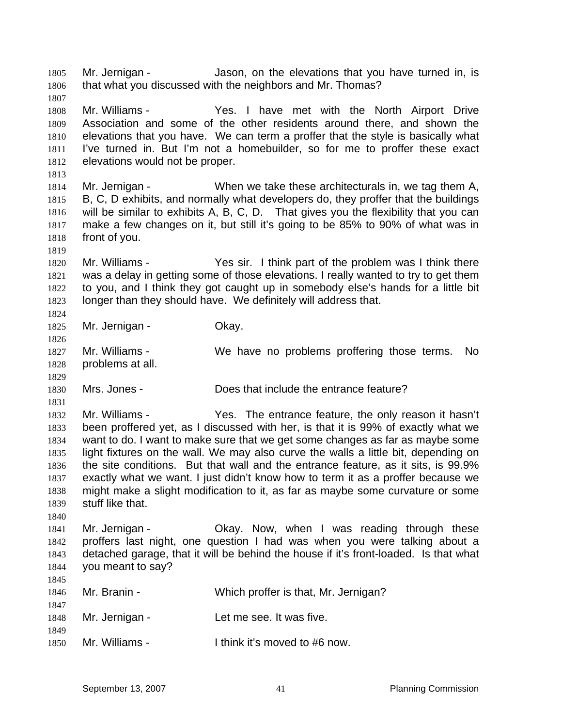Mr. Jernigan - Jason, on the elevations that you have turned in, is that what you discussed with the neighbors and Mr. Thomas? 1805 1806

1808 1809 1810 1811 1812 Mr. Williams - Yes. I have met with the North Airport Drive Association and some of the other residents around there, and shown the elevations that you have. We can term a proffer that the style is basically what I've turned in. But I'm not a homebuilder, so for me to proffer these exact elevations would not be proper.

1813 1814 1815 1816 1817 1818 Mr. Jernigan - When we take these architecturals in, we tag them A, B, C, D exhibits, and normally what developers do, they proffer that the buildings will be similar to exhibits A, B, C, D. That gives you the flexibility that you can make a few changes on it, but still it's going to be 85% to 90% of what was in front of you.

1820 1821 1822 1823 1824 Mr. Williams - The Yes sir. I think part of the problem was I think there was a delay in getting some of those elevations. I really wanted to try to get them to you, and I think they got caught up in somebody else's hands for a little bit longer than they should have. We definitely will address that.

1825 Mr. Jernigan - Ckay.

1807

1819

1826

1831

1840

1845

1827 1828 1829 Mr. Williams - We have no problems proffering those terms. No problems at all.

1830 Mrs. Jones - **Does that include the entrance feature?** 

1832 1833 1834 1835 1836 1837 1838 1839 Mr. Williams - Yes. The entrance feature, the only reason it hasn't been proffered yet, as I discussed with her, is that it is 99% of exactly what we want to do. I want to make sure that we get some changes as far as maybe some light fixtures on the wall. We may also curve the walls a little bit, depending on the site conditions. But that wall and the entrance feature, as it sits, is 99.9% exactly what we want. I just didn't know how to term it as a proffer because we might make a slight modification to it, as far as maybe some curvature or some stuff like that.

1841 1842 1843 1844 Mr. Jernigan - Ckay. Now, when I was reading through these proffers last night, one question I had was when you were talking about a detached garage, that it will be behind the house if it's front-loaded. Is that what you meant to say?

| 1846<br>1847 | Mr. Branin -   | Which proffer is that, Mr. Jernigan? |
|--------------|----------------|--------------------------------------|
| 1848         | Mr. Jernigan - | Let me see. It was five.             |
| 1849<br>1850 | Mr. Williams - | I think it's moved to #6 now.        |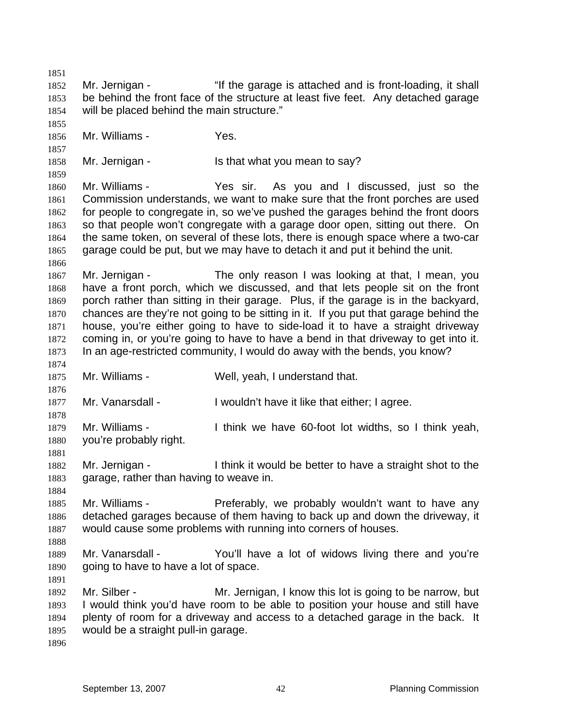1851 1852 1853 1854 1855 1856 1857 1858 1859 1860 1861 1862 1863 1864 1865 1866 1867 1868 1869 1870 1871 1872 1873 1874 1875 1876 1877 1878 1879 1880 1881 1882 1883 1884 1885 1886 1887 1888 1889 1890 1891 1892 1893 1894 1895 1896 Mr. Jernigan - "If the garage is attached and is front-loading, it shall be behind the front face of the structure at least five feet. Any detached garage will be placed behind the main structure." Mr. Williams - Yes. Mr. Jernigan - Is that what you mean to say? Mr. Williams - Yes sir. As you and I discussed, just so the Commission understands, we want to make sure that the front porches are used for people to congregate in, so we've pushed the garages behind the front doors so that people won't congregate with a garage door open, sitting out there. On the same token, on several of these lots, there is enough space where a two-car garage could be put, but we may have to detach it and put it behind the unit. Mr. Jernigan - The only reason I was looking at that, I mean, you have a front porch, which we discussed, and that lets people sit on the front porch rather than sitting in their garage. Plus, if the garage is in the backyard, chances are they're not going to be sitting in it. If you put that garage behind the house, you're either going to have to side-load it to have a straight driveway coming in, or you're going to have to have a bend in that driveway to get into it. In an age-restricted community, I would do away with the bends, you know? Mr. Williams - Well, yeah, I understand that. Mr. Vanarsdall - I wouldn't have it like that either; I agree. Mr. Williams - I think we have 60-foot lot widths, so I think yeah, you're probably right. Mr. Jernigan - I think it would be better to have a straight shot to the garage, rather than having to weave in. Mr. Williams - Preferably, we probably wouldn't want to have any detached garages because of them having to back up and down the driveway, it would cause some problems with running into corners of houses. Mr. Vanarsdall - The You'll have a lot of widows living there and you're going to have to have a lot of space. Mr. Silber - Mr. Jernigan, I know this lot is going to be narrow, but I would think you'd have room to be able to position your house and still have plenty of room for a driveway and access to a detached garage in the back. It would be a straight pull-in garage.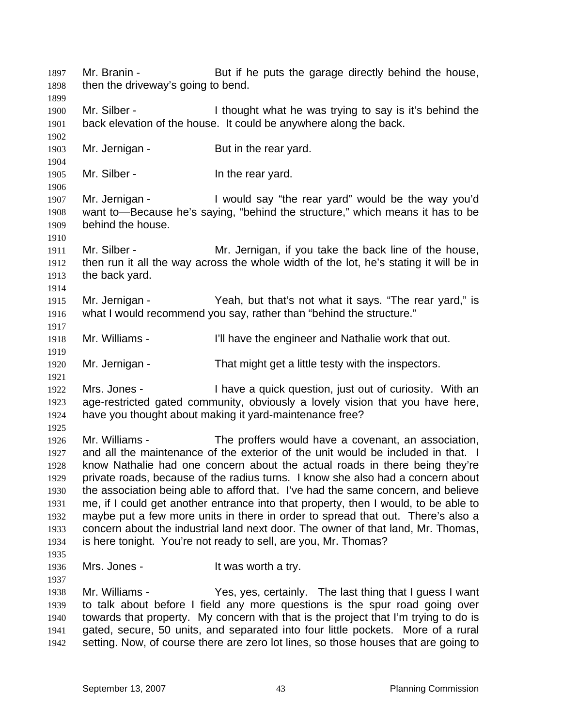Mr. Branin - But if he puts the garage directly behind the house, then the driveway's going to bend. 1897 1898 1899 1900 1901 1902 1903 1904 1905 1906 1907 1908 1909 1910 1911 1912 1913 1914 1915 1916 1917 1918 1919 1920 1921 1922 1923 1924 1925 1926 1927 1928 1929 1930 1931 1932 1933 1934 1935 1936 1937 1938 1939 1940 1941 1942 Mr. Silber - I thought what he was trying to say is it's behind the back elevation of the house. It could be anywhere along the back. Mr. Jernigan - But in the rear yard. Mr. Silber - The rear yard. Mr. Jernigan - I would say "the rear yard" would be the way you'd want to—Because he's saying, "behind the structure," which means it has to be behind the house. Mr. Silber - The Mr. Jernigan, if you take the back line of the house, then run it all the way across the whole width of the lot, he's stating it will be in the back yard. Mr. Jernigan - Yeah, but that's not what it says. "The rear yard," is what I would recommend you say, rather than "behind the structure." Mr. Williams - I'll have the engineer and Nathalie work that out. Mr. Jernigan - That might get a little testy with the inspectors. Mrs. Jones - I have a quick question, just out of curiosity. With an age-restricted gated community, obviously a lovely vision that you have here, have you thought about making it yard-maintenance free? Mr. Williams - The proffers would have a covenant, an association, and all the maintenance of the exterior of the unit would be included in that. I know Nathalie had one concern about the actual roads in there being they're private roads, because of the radius turns. I know she also had a concern about the association being able to afford that. I've had the same concern, and believe me, if I could get another entrance into that property, then I would, to be able to maybe put a few more units in there in order to spread that out. There's also a concern about the industrial land next door. The owner of that land, Mr. Thomas, is here tonight. You're not ready to sell, are you, Mr. Thomas? Mrs. Jones - The Mrs worth a try. Mr. Williams - Yes, yes, certainly. The last thing that I guess I want to talk about before I field any more questions is the spur road going over towards that property. My concern with that is the project that I'm trying to do is gated, secure, 50 units, and separated into four little pockets. More of a rural setting. Now, of course there are zero lot lines, so those houses that are going to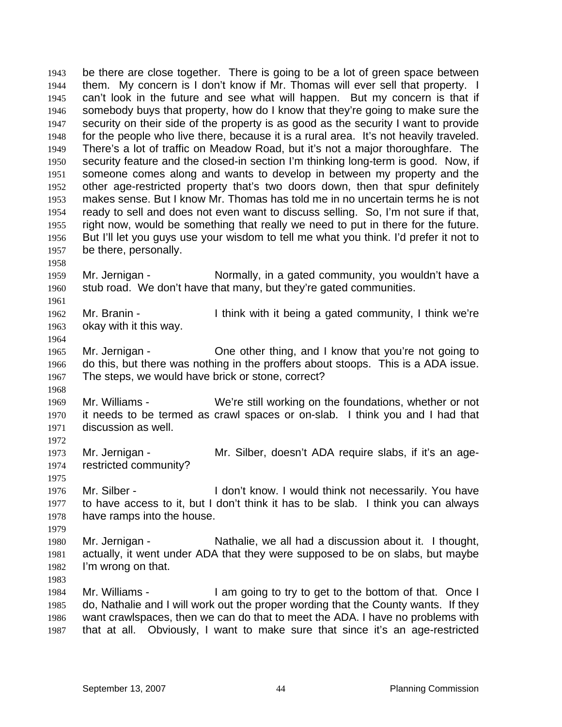be there are close together. There is going to be a lot of green space between them. My concern is I don't know if Mr. Thomas will ever sell that property. I can't look in the future and see what will happen. But my concern is that if somebody buys that property, how do I know that they're going to make sure the security on their side of the property is as good as the security I want to provide for the people who live there, because it is a rural area. It's not heavily traveled. There's a lot of traffic on Meadow Road, but it's not a major thoroughfare. The security feature and the closed-in section I'm thinking long-term is good. Now, if someone comes along and wants to develop in between my property and the other age-restricted property that's two doors down, then that spur definitely makes sense. But I know Mr. Thomas has told me in no uncertain terms he is not ready to sell and does not even want to discuss selling. So, I'm not sure if that, right now, would be something that really we need to put in there for the future. But I'll let you guys use your wisdom to tell me what you think. I'd prefer it not to be there, personally. 1943 1944 1945 1946 1947 1948 1949 1950 1951 1952 1953 1954 1955 1956 1957

1959 1960 Mr. Jernigan - Normally, in a gated community, you wouldn't have a stub road. We don't have that many, but they're gated communities.

1962 1963 Mr. Branin - I think with it being a gated community, I think we're okay with it this way.

1965 1966 1967 Mr. Jernigan - One other thing, and I know that you're not going to do this, but there was nothing in the proffers about stoops. This is a ADA issue. The steps, we would have brick or stone, correct?

1969 1970 1971 Mr. Williams - We're still working on the foundations, whether or not it needs to be termed as crawl spaces or on-slab. I think you and I had that discussion as well.

1973 1974 Mr. Jernigan - Mr. Silber, doesn't ADA require slabs, if it's an agerestricted community?

1976 1977 1978 Mr. Silber - **I** don't know. I would think not necessarily. You have to have access to it, but I don't think it has to be slab. I think you can always have ramps into the house.

1980 1981 1982 Mr. Jernigan - Nathalie, we all had a discussion about it. I thought, actually, it went under ADA that they were supposed to be on slabs, but maybe I'm wrong on that.

1984 1985 1986 1987 Mr. Williams - The M am going to try to get to the bottom of that. Once I do, Nathalie and I will work out the proper wording that the County wants. If they want crawlspaces, then we can do that to meet the ADA. I have no problems with that at all. Obviously, I want to make sure that since it's an age-restricted

1958

1961

1964

1968

1972

1975

1979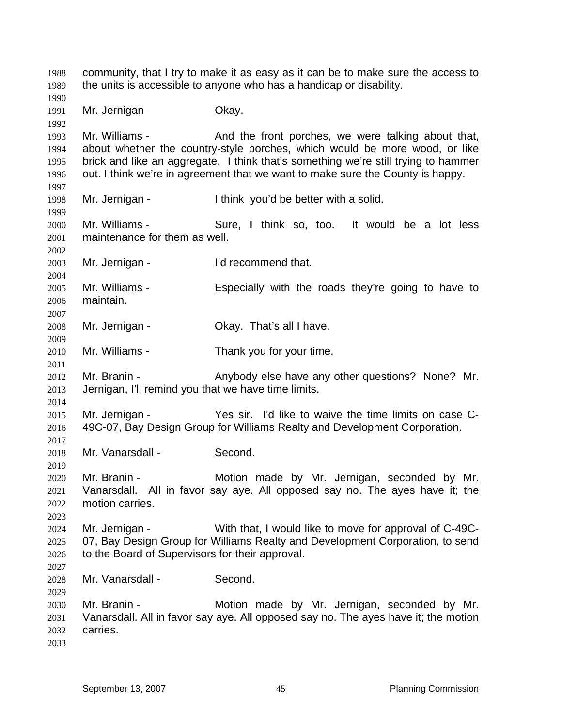community, that I try to make it as easy as it can be to make sure the access to the units is accessible to anyone who has a handicap or disability. 1988 1989 1990 1991 1992 1993 1994 1995 1996 1997 1998 1999 2000 2001 2002 2003 2004 2005 2006 2007 2008 2009 2010 2011 2012 2013 2014 2015 2016 2017 2018 2019 2020 2021 2022 2023 2024 2025 2026 2027 2028 2029 2030 2031 2032 2033 Mr. Jernigan - **Okay.** Mr. Williams - The And the front porches, we were talking about that, about whether the country-style porches, which would be more wood, or like brick and like an aggregate. I think that's something we're still trying to hammer out. I think we're in agreement that we want to make sure the County is happy. Mr. Jernigan - I think you'd be better with a solid. Mr. Williams - Sure, I think so, too. It would be a lot less maintenance for them as well. Mr. Jernigan - I'd recommend that. Mr. Williams - Especially with the roads they're going to have to maintain. Mr. Jernigan - Ckay. That's all I have. Mr. Williams - Thank you for your time. Mr. Branin - The Anybody else have any other questions? None? Mr. Jernigan, I'll remind you that we have time limits. Mr. Jernigan - Yes sir. I'd like to waive the time limits on case C-49C-07, Bay Design Group for Williams Realty and Development Corporation. Mr. Vanarsdall - Second. Mr. Branin - Motion made by Mr. Jernigan, seconded by Mr. Vanarsdall. All in favor say aye. All opposed say no. The ayes have it; the motion carries. Mr. Jernigan - With that, I would like to move for approval of C-49C-07, Bay Design Group for Williams Realty and Development Corporation, to send to the Board of Supervisors for their approval. Mr. Vanarsdall - Second. Mr. Branin - **Motion made by Mr. Jernigan, seconded by Mr.** Vanarsdall. All in favor say aye. All opposed say no. The ayes have it; the motion carries.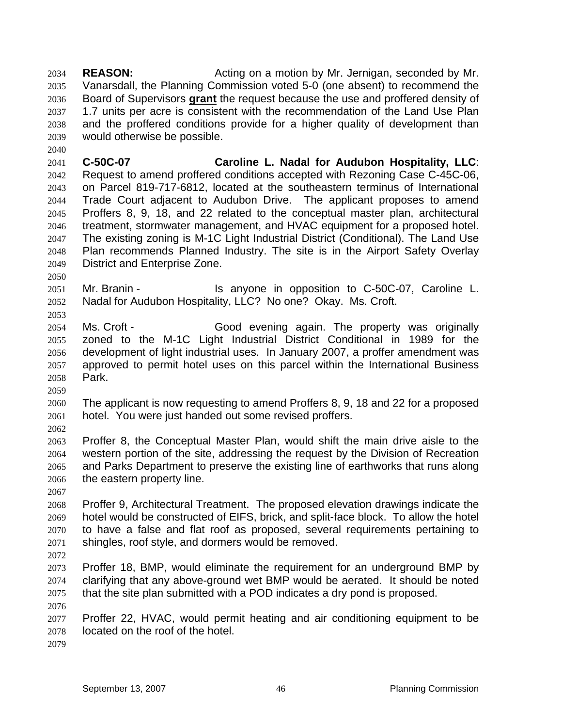**REASON: Acting on a motion by Mr. Jernigan, seconded by Mr.** Vanarsdall, the Planning Commission voted 5-0 (one absent) to recommend the Board of Supervisors **grant** the request because the use and proffered density of 2034 2035 1.7 units per acre is consistent with the recommendation of the Land Use Plan and the proffered conditions provide for a higher quality of development than would otherwise be possible. 2036 2037 2038 2039

2041 2042 2043 2044 2045 2046 2047 2048 2049 **C-50C-07 Caroline L. Nadal for Audubon Hospitality, LLC**: Request to amend proffered conditions accepted with Rezoning Case C-45C-06, on Parcel 819-717-6812, located at the southeastern terminus of International Trade Court adjacent to Audubon Drive. The applicant proposes to amend Proffers 8, 9, 18, and 22 related to the conceptual master plan, architectural treatment, stormwater management, and HVAC equipment for a proposed hotel. The existing zoning is M-1C Light Industrial District (Conditional). The Land Use Plan recommends Planned Industry. The site is in the Airport Safety Overlay District and Enterprise Zone.

2050

2053

2040

2051 2052 Mr. Branin - The Standall Is anyone in opposition to C-50C-07, Caroline L. Nadal for Audubon Hospitality, LLC? No one? Okay. Ms. Croft.

2054 2055 2056 2057 2058 Ms. Croft - Good evening again. The property was originally zoned to the M-1C Light Industrial District Conditional in 1989 for the development of light industrial uses. In January 2007, a proffer amendment was approved to permit hotel uses on this parcel within the International Business Park.

2060 2061 The applicant is now requesting to amend Proffers 8, 9, 18 and 22 for a proposed hotel. You were just handed out some revised proffers.

2062

2067

2059

2063 2064 2065 2066 Proffer 8, the Conceptual Master Plan, would shift the main drive aisle to the western portion of the site, addressing the request by the Division of Recreation and Parks Department to preserve the existing line of earthworks that runs along the eastern property line.

2068 2069 2070 2071 2072 Proffer 9, Architectural Treatment. The proposed elevation drawings indicate the hotel would be constructed of EIFS, brick, and split-face block. To allow the hotel to have a false and flat roof as proposed, several requirements pertaining to shingles, roof style, and dormers would be removed.

2073 2074 2075 Proffer 18, BMP, would eliminate the requirement for an underground BMP by clarifying that any above-ground wet BMP would be aerated. It should be noted that the site plan submitted with a POD indicates a dry pond is proposed.

2076

2077 2078 Proffer 22, HVAC, would permit heating and air conditioning equipment to be located on the roof of the hotel.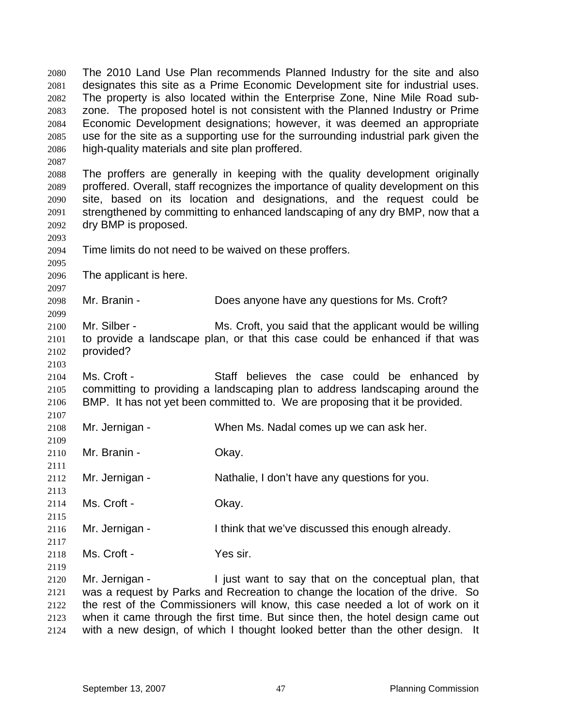The 2010 Land Use Plan recommends Planned Industry for the site and also designates this site as a Prime Economic Development site for industrial uses. The property is also located within the Enterprise Zone, Nine Mile Road subzone. The proposed hotel is not consistent with the Planned Industry or Prime Economic Development designations; however, it was deemed an appropriate use for the site as a supporting use for the surrounding industrial park given the high-quality materials and site plan proffered. 2080 2081 2082 2083 2084 2085 2086 2087 2088 2089 2090 2091 2092 2093 2094 2095 2096 2097 2098 2099 2100 2101 2102 2103 2104 2105 2106 2107 2108 2109 2110 2111 2112 2113 2114 2115 2116 2117 2118 2119 2120 2121 2122 2123 The proffers are generally in keeping with the quality development originally proffered. Overall, staff recognizes the importance of quality development on this site, based on its location and designations, and the request could be strengthened by committing to enhanced landscaping of any dry BMP, now that a dry BMP is proposed. Time limits do not need to be waived on these proffers. The applicant is here. Mr. Branin - Does anyone have any questions for Ms. Croft? Mr. Silber - Ms. Croft, you said that the applicant would be willing to provide a landscape plan, or that this case could be enhanced if that was provided? Ms. Croft - Staff believes the case could be enhanced by committing to providing a landscaping plan to address landscaping around the BMP. It has not yet been committed to. We are proposing that it be provided. Mr. Jernigan - When Ms. Nadal comes up we can ask her. Mr. Branin - Chay. Mr. Jernigan - Nathalie, I don't have any questions for you. Ms. Croft - Chav. Mr. Jernigan - I think that we've discussed this enough already. Ms. Croft - The Yes sir. Mr. Jernigan - I just want to say that on the conceptual plan, that was a request by Parks and Recreation to change the location of the drive. So the rest of the Commissioners will know, this case needed a lot of work on it when it came through the first time. But since then, the hotel design came out

2124

with a new design, of which I thought looked better than the other design. It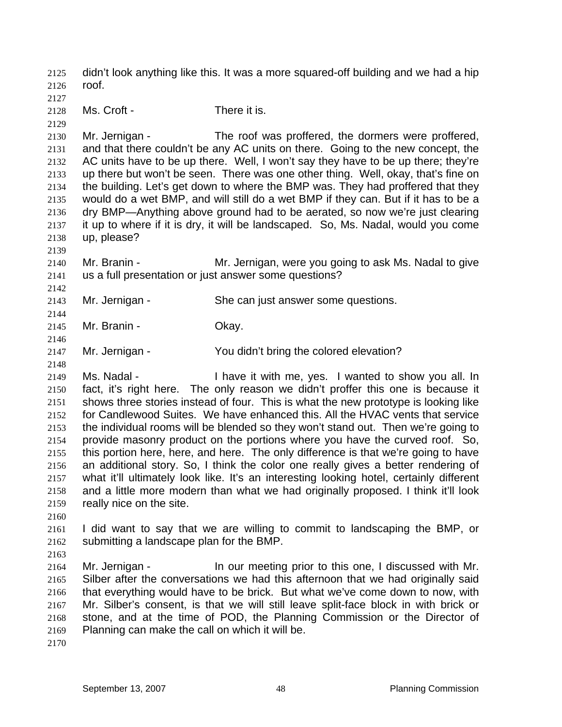didn't look anything like this. It was a more squared-off building and we had a hip roof. 2125 2126 2127 2128 2129 2130 2131 2132 2133 2134 2135 2136 2137 2138 2139 2140 2141 2142 2143 2144 2145 2146 2147 2148 2149 2150 2151 2152 2153 2154 2155 2156 2157 2158 2159 2160 2161 2162 2163 2164 2165 2166 2167 2168 2169 2170 Ms. Croft - There it is. Mr. Jernigan - The roof was proffered, the dormers were proffered, and that there couldn't be any AC units on there. Going to the new concept, the AC units have to be up there. Well, I won't say they have to be up there; they're up there but won't be seen. There was one other thing. Well, okay, that's fine on the building. Let's get down to where the BMP was. They had proffered that they would do a wet BMP, and will still do a wet BMP if they can. But if it has to be a dry BMP—Anything above ground had to be aerated, so now we're just clearing it up to where if it is dry, it will be landscaped. So, Ms. Nadal, would you come up, please? Mr. Branin - **Mr.** Jernigan, were you going to ask Ms. Nadal to give us a full presentation or just answer some questions? Mr. Jernigan - She can just answer some questions. Mr. Branin - Ckay. Mr. Jernigan - You didn't bring the colored elevation? Ms. Nadal - Thave it with me, yes. I wanted to show you all. In fact, it's right here. The only reason we didn't proffer this one is because it shows three stories instead of four. This is what the new prototype is looking like for Candlewood Suites. We have enhanced this. All the HVAC vents that service the individual rooms will be blended so they won't stand out. Then we're going to provide masonry product on the portions where you have the curved roof. So, this portion here, here, and here. The only difference is that we're going to have an additional story. So, I think the color one really gives a better rendering of what it'll ultimately look like. It's an interesting looking hotel, certainly different and a little more modern than what we had originally proposed. I think it'll look really nice on the site. I did want to say that we are willing to commit to landscaping the BMP, or submitting a landscape plan for the BMP. Mr. Jernigan - The our meeting prior to this one, I discussed with Mr. Silber after the conversations we had this afternoon that we had originally said that everything would have to be brick. But what we've come down to now, with Mr. Silber's consent, is that we will still leave split-face block in with brick or stone, and at the time of POD, the Planning Commission or the Director of Planning can make the call on which it will be.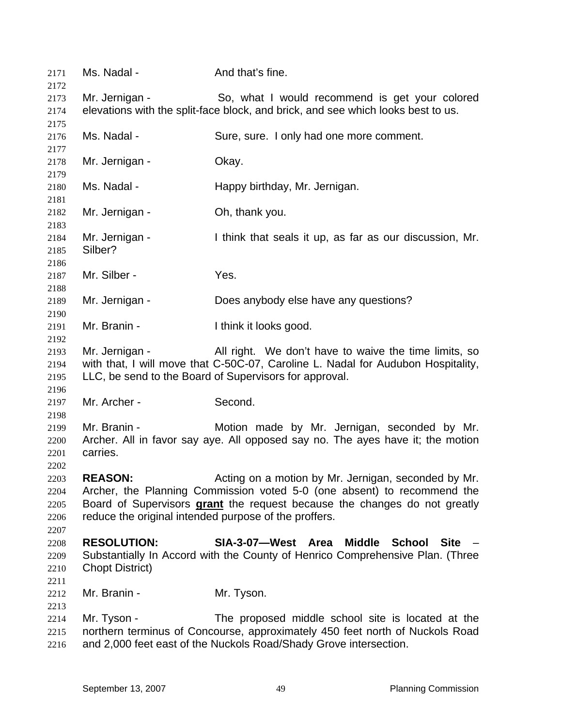| 2171<br>2172                         | Ms. Nadal -                                                                                                                                                                                                                                                                            | And that's fine.                                                                                                                                                                                       |
|--------------------------------------|----------------------------------------------------------------------------------------------------------------------------------------------------------------------------------------------------------------------------------------------------------------------------------------|--------------------------------------------------------------------------------------------------------------------------------------------------------------------------------------------------------|
| 2173<br>2174<br>2175                 | Mr. Jernigan -                                                                                                                                                                                                                                                                         | So, what I would recommend is get your colored<br>elevations with the split-face block, and brick, and see which looks best to us.                                                                     |
| 2176<br>2177                         | Ms. Nadal -                                                                                                                                                                                                                                                                            | Sure, sure. I only had one more comment.                                                                                                                                                               |
| 2178<br>2179                         | Mr. Jernigan -                                                                                                                                                                                                                                                                         | Okay.                                                                                                                                                                                                  |
| 2180<br>2181                         | Ms. Nadal -                                                                                                                                                                                                                                                                            | Happy birthday, Mr. Jernigan.                                                                                                                                                                          |
| 2182<br>2183                         | Mr. Jernigan -                                                                                                                                                                                                                                                                         | Oh, thank you.                                                                                                                                                                                         |
| 2184<br>2185<br>2186                 | Mr. Jernigan -<br>Silber?                                                                                                                                                                                                                                                              | I think that seals it up, as far as our discussion, Mr.                                                                                                                                                |
| 2187<br>2188                         | Mr. Silber -                                                                                                                                                                                                                                                                           | Yes.                                                                                                                                                                                                   |
| 2189<br>2190                         | Mr. Jernigan -                                                                                                                                                                                                                                                                         | Does anybody else have any questions?                                                                                                                                                                  |
| 2191<br>2192                         | Mr. Branin -                                                                                                                                                                                                                                                                           | I think it looks good.                                                                                                                                                                                 |
| 2193<br>2194<br>2195<br>2196         | Mr. Jernigan -<br>All right. We don't have to waive the time limits, so<br>with that, I will move that C-50C-07, Caroline L. Nadal for Audubon Hospitality,<br>LLC, be send to the Board of Supervisors for approval.                                                                  |                                                                                                                                                                                                        |
| 2197<br>2198                         | Mr. Archer -                                                                                                                                                                                                                                                                           | Second.                                                                                                                                                                                                |
| 2199<br>2200<br>2201<br>2202         | Mr. Branin -<br>carries.                                                                                                                                                                                                                                                               | Motion made by Mr. Jernigan, seconded by Mr.<br>Archer. All in favor say aye. All opposed say no. The ayes have it; the motion                                                                         |
| 2203<br>2204<br>2205<br>2206<br>2207 | Acting on a motion by Mr. Jernigan, seconded by Mr.<br><b>REASON:</b><br>Archer, the Planning Commission voted 5-0 (one absent) to recommend the<br>Board of Supervisors grant the request because the changes do not greatly<br>reduce the original intended purpose of the proffers. |                                                                                                                                                                                                        |
| 2208<br>2209<br>2210<br>2211         | <b>RESOLUTION:</b><br><b>Chopt District)</b>                                                                                                                                                                                                                                           | SIA-3-07-West Area<br>Middle School<br><b>Site</b><br>Substantially In Accord with the County of Henrico Comprehensive Plan. (Three                                                                    |
| 2212<br>2213                         | Mr. Branin -                                                                                                                                                                                                                                                                           | Mr. Tyson.                                                                                                                                                                                             |
| 2214<br>2215<br>2216                 | Mr. Tyson -                                                                                                                                                                                                                                                                            | The proposed middle school site is located at the<br>northern terminus of Concourse, approximately 450 feet north of Nuckols Road<br>and 2,000 feet east of the Nuckols Road/Shady Grove intersection. |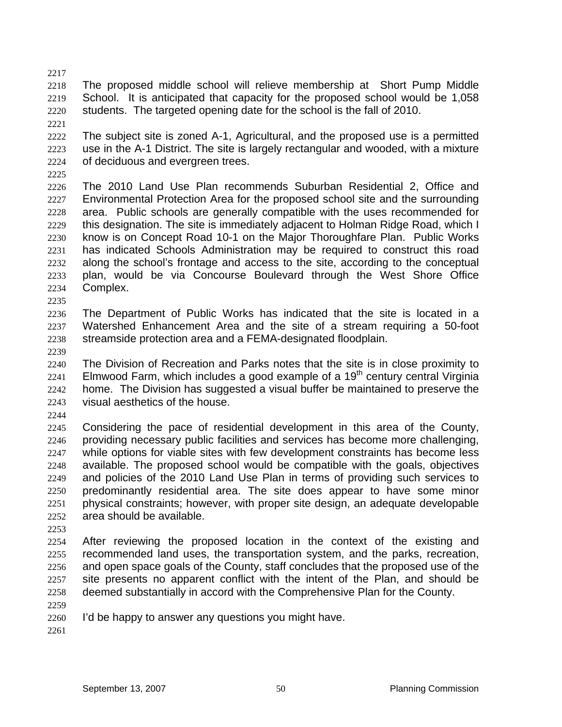2217

2218 2219 2220 The proposed middle school will relieve membership at Short Pump Middle School. It is anticipated that capacity for the proposed school would be 1,058 students. The targeted opening date for the school is the fall of 2010.

2221

2222 2223 2224 The subject site is zoned A-1, Agricultural, and the proposed use is a permitted use in the A-1 District. The site is largely rectangular and wooded, with a mixture of deciduous and evergreen trees.

2225

2226 2227 2228 2229 2230 2231 2232 2233 2234 The 2010 Land Use Plan recommends Suburban Residential 2, Office and Environmental Protection Area for the proposed school site and the surrounding area. Public schools are generally compatible with the uses recommended for this designation. The site is immediately adjacent to Holman Ridge Road, which I know is on Concept Road 10-1 on the Major Thoroughfare Plan. Public Works has indicated Schools Administration may be required to construct this road along the school's frontage and access to the site, according to the conceptual plan, would be via Concourse Boulevard through the West Shore Office Complex.

2236 2237 2238 The Department of Public Works has indicated that the site is located in a Watershed Enhancement Area and the site of a stream requiring a 50-foot streamside protection area and a FEMA-designated floodplain.

2239

2235

2240 2241 2242 2243 The Division of Recreation and Parks notes that the site is in close proximity to Elmwood Farm, which includes a good example of a  $19<sup>th</sup>$  century central Virginia home. The Division has suggested a visual buffer be maintained to preserve the visual aesthetics of the house.

2244

2245 2246 2247 2248 2249 2250 2251 2252 Considering the pace of residential development in this area of the County, providing necessary public facilities and services has become more challenging, while options for viable sites with few development constraints has become less available. The proposed school would be compatible with the goals, objectives and policies of the 2010 Land Use Plan in terms of providing such services to predominantly residential area. The site does appear to have some minor physical constraints; however, with proper site design, an adequate developable area should be available.

2253

2254 2255 2256 2257 2258 After reviewing the proposed location in the context of the existing and recommended land uses, the transportation system, and the parks, recreation, and open space goals of the County, staff concludes that the proposed use of the site presents no apparent conflict with the intent of the Plan, and should be deemed substantially in accord with the Comprehensive Plan for the County.

- 2259
- 2260 I'd be happy to answer any questions you might have.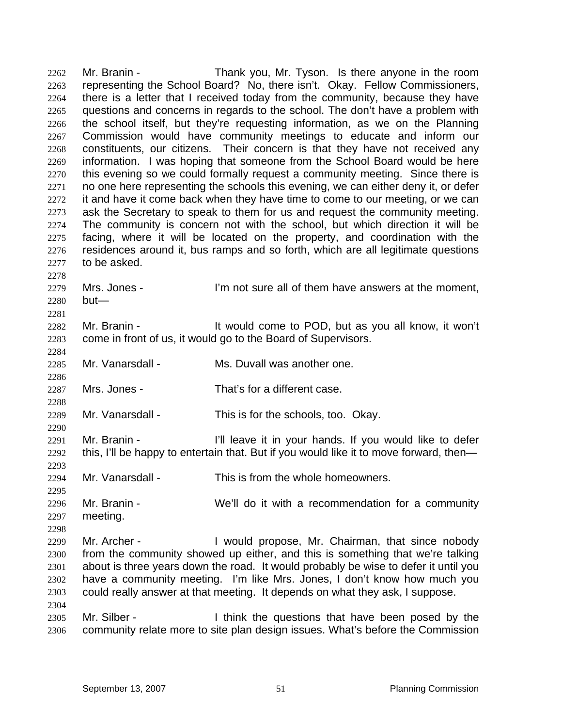Mr. Branin - Thank you, Mr. Tyson. Is there anyone in the room representing the School Board? No, there isn't. Okay. Fellow Commissioners, there is a letter that I received today from the community, because they have questions and concerns in regards to the school. The don't have a problem with the school itself, but they're requesting information, as we on the Planning Commission would have community meetings to educate and inform our constituents, our citizens. Their concern is that they have not received any information. I was hoping that someone from the School Board would be here this evening so we could formally request a community meeting. Since there is no one here representing the schools this evening, we can either deny it, or defer it and have it come back when they have time to come to our meeting, or we can ask the Secretary to speak to them for us and request the community meeting. The community is concern not with the school, but which direction it will be facing, where it will be located on the property, and coordination with the residences around it, bus ramps and so forth, which are all legitimate questions to be asked. 2262 2263 2264 2265 2266 2267 2268 2269 2270 2271 2272 2273 2274 2275 2276 2277 2278

2279 2280 Mrs. Jones - I'm not sure all of them have answers at the moment, but—

2282 2283 Mr. Branin - It would come to POD, but as you all know, it won't come in front of us, it would go to the Board of Supervisors.

2285 Mr. Vanarsdall - Ms. Duvall was another one.

2287 Mrs. Jones - That's for a different case.

2289 Mr. Vanarsdall - This is for the schools, too. Okay.

2291 2292 Mr. Branin - The I'll leave it in your hands. If you would like to defer this, I'll be happy to entertain that. But if you would like it to move forward, then—

2294 Mr. Vanarsdall - This is from the whole homeowners.

2296 2297 Mr. Branin - We'll do it with a recommendation for a community meeting.

2299 2300 2301 2302 2303 Mr. Archer - The Unit of Propose, Mr. Chairman, that since nobody from the community showed up either, and this is something that we're talking about is three years down the road. It would probably be wise to defer it until you have a community meeting. I'm like Mrs. Jones, I don't know how much you could really answer at that meeting. It depends on what they ask, I suppose.

2305 2306 Mr. Silber - Think the questions that have been posed by the community relate more to site plan design issues. What's before the Commission

2281

2284

2286

2288

2290

2293

2295

2298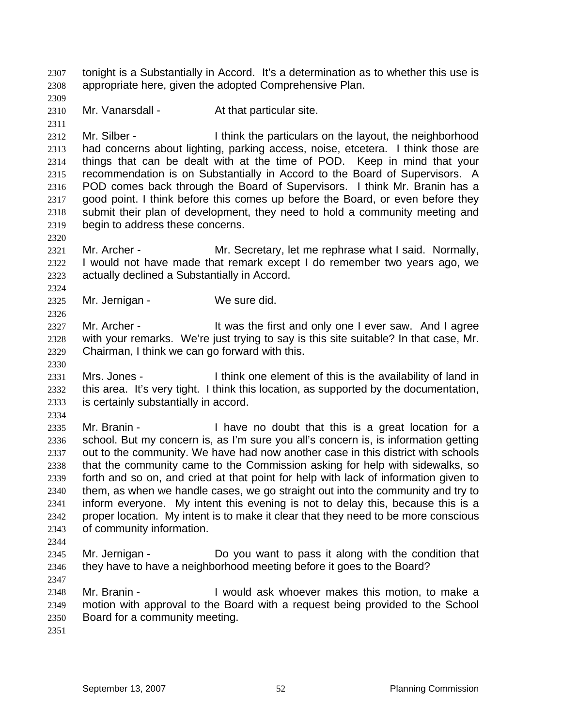tonight is a Substantially in Accord. It's a determination as to whether this use is appropriate here, given the adopted Comprehensive Plan. 2307 2308

2310 Mr. Vanarsdall - At that particular site.

2312 2313 2314 2315 2316 2317 2318 2319 Mr. Silber - Think the particulars on the layout, the neighborhood had concerns about lighting, parking access, noise, etcetera. I think those are things that can be dealt with at the time of POD. Keep in mind that your recommendation is on Substantially in Accord to the Board of Supervisors. A POD comes back through the Board of Supervisors. I think Mr. Branin has a good point. I think before this comes up before the Board, or even before they submit their plan of development, they need to hold a community meeting and begin to address these concerns.

- 2321 2322 2323 Mr. Archer - **Mr.** Secretary, let me rephrase what I said. Normally, I would not have made that remark except I do remember two years ago, we actually declined a Substantially in Accord.
- 2325 Mr. Jernigan - We sure did.

2327 2328 2329 Mr. Archer - The Must he first and only one I ever saw. And I agree with your remarks. We're just trying to say is this site suitable? In that case, Mr. Chairman, I think we can go forward with this.

2331 2332 2333 Mrs. Jones - I think one element of this is the availability of land in this area. It's very tight. I think this location, as supported by the documentation, is certainly substantially in accord.

2334

2309

2311

2320

2324

2326

2330

2335 2336 2337 2338 2339 2340 2341 2342 2343 2344 Mr. Branin - Thave no doubt that this is a great location for a school. But my concern is, as I'm sure you all's concern is, is information getting out to the community. We have had now another case in this district with schools that the community came to the Commission asking for help with sidewalks, so forth and so on, and cried at that point for help with lack of information given to them, as when we handle cases, we go straight out into the community and try to inform everyone. My intent this evening is not to delay this, because this is a proper location. My intent is to make it clear that they need to be more conscious of community information.

2345 2346 Mr. Jernigan - Do you want to pass it along with the condition that they have to have a neighborhood meeting before it goes to the Board?

2347

2348 2349 2350 Mr. Branin - The State of All would ask whoever makes this motion, to make a motion with approval to the Board with a request being provided to the School Board for a community meeting.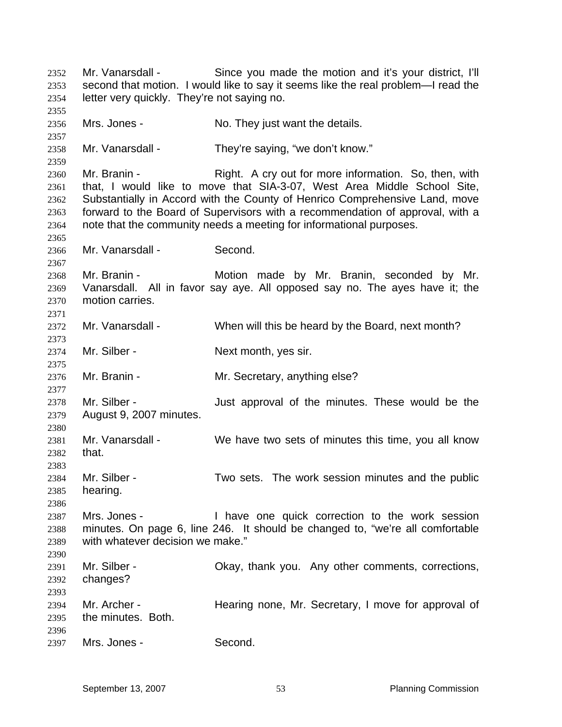Mr. Vanarsdall - Since you made the motion and it's your district, I'll second that motion. I would like to say it seems like the real problem—I read the letter very quickly. They're not saying no. 2352 2353 2354 2355 2356 2357 2358 2359 2360 2361 2362 2363 2364 2365 2366 2367 2368 2369 2370 2371 2372 2373 2374 2375 2376 2377 2378 2379 2380 2381 2382 2383 2384 2385 2386 2387 2388 2389 2390 2391 2392 2393 2394 2395 2396 2397 Mrs. Jones - No. They just want the details. Mr. Vanarsdall - They're saying, "we don't know." Mr. Branin - The Right. A cry out for more information. So, then, with that, I would like to move that SIA-3-07, West Area Middle School Site, Substantially in Accord with the County of Henrico Comprehensive Land, move forward to the Board of Supervisors with a recommendation of approval, with a note that the community needs a meeting for informational purposes. Mr. Vanarsdall - Second. Mr. Branin - Motion made by Mr. Branin, seconded by Mr. Vanarsdall. All in favor say aye. All opposed say no. The ayes have it; the motion carries. Mr. Vanarsdall - When will this be heard by the Board, next month? Mr. Silber - Next month, yes sir. Mr. Branin - **Mr. Secretary, anything else?** Mr. Silber - Just approval of the minutes. These would be the August 9, 2007 minutes. Mr. Vanarsdall - We have two sets of minutes this time, you all know that. Mr. Silber - Two sets. The work session minutes and the public hearing. Mrs. Jones - I have one quick correction to the work session minutes. On page 6, line 246. It should be changed to, "we're all comfortable with whatever decision we make." Mr. Silber - Chay, thank you. Any other comments, corrections, changes? Mr. Archer - **Hearing none, Mr. Secretary, I move for approval of** the minutes. Both. Mrs. Jones - Second.